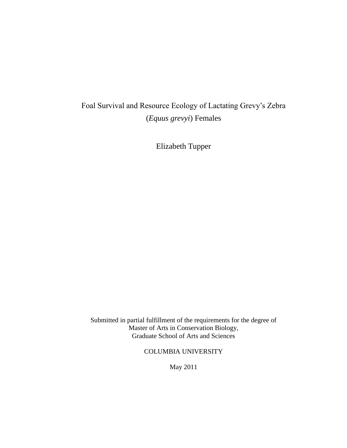# Foal Survival and Resource Ecology of Lactating Grevy's Zebra (*Equus grevyi*) Females

Elizabeth Tupper

Submitted in partial fulfillment of the requirements for the degree of Master of Arts in Conservation Biology, Graduate School of Arts and Sciences

COLUMBIA UNIVERSITY

May 2011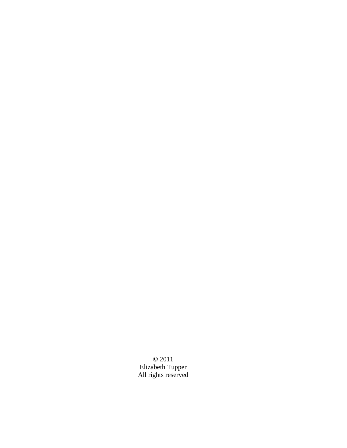© 2011 Elizabeth Tupper All rights reserved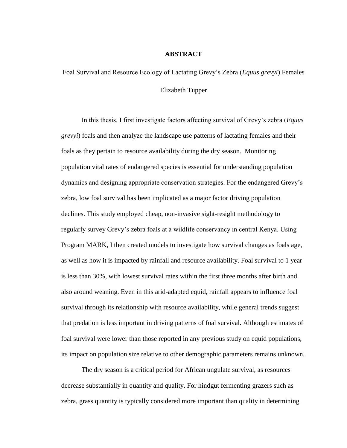#### **ABSTRACT**

Foal Survival and Resource Ecology of Lactating Grevy's Zebra (*Equus grevyi*) Females Elizabeth Tupper

In this thesis, I first investigate factors affecting survival of Grevy's zebra (*Equus grevyi*) foals and then analyze the landscape use patterns of lactating females and their foals as they pertain to resource availability during the dry season. Monitoring population vital rates of endangered species is essential for understanding population dynamics and designing appropriate conservation strategies. For the endangered Grevy's zebra, low foal survival has been implicated as a major factor driving population declines. This study employed cheap, non-invasive sight-resight methodology to regularly survey Grevy's zebra foals at a wildlife conservancy in central Kenya. Using Program MARK, I then created models to investigate how survival changes as foals age, as well as how it is impacted by rainfall and resource availability. Foal survival to 1 year is less than 30%, with lowest survival rates within the first three months after birth and also around weaning. Even in this arid-adapted equid, rainfall appears to influence foal survival through its relationship with resource availability, while general trends suggest that predation is less important in driving patterns of foal survival. Although estimates of foal survival were lower than those reported in any previous study on equid populations, its impact on population size relative to other demographic parameters remains unknown.

The dry season is a critical period for African ungulate survival, as resources decrease substantially in quantity and quality. For hindgut fermenting grazers such as zebra, grass quantity is typically considered more important than quality in determining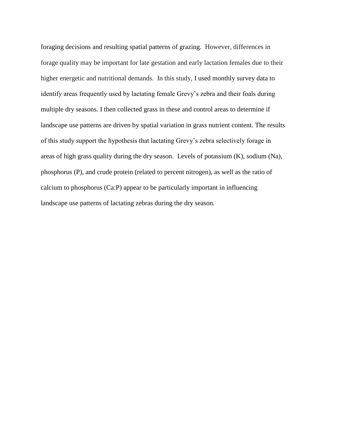foraging decisions and resulting spatial patterns of grazing. However, differences in forage quality may be important for late gestation and early lactation females due to their higher energetic and nutritional demands. In this study, I used monthly survey data to identify areas frequently used by lactating female Grevy's zebra and their foals during multiple dry seasons. I then collected grass in these and control areas to determine if landscape use patterns are driven by spatial variation in grass nutrient content. The results of this study support the hypothesis that lactating Grevy's zebra selectively forage in areas of high grass quality during the dry season. Levels of potassium (K), sodium (Na), phosphorus (P), and crude protein (related to percent nitrogen), as well as the ratio of calcium to phosphorus (Ca:P) appear to be particularly important in influencing landscape use patterns of lactating zebras during the dry season.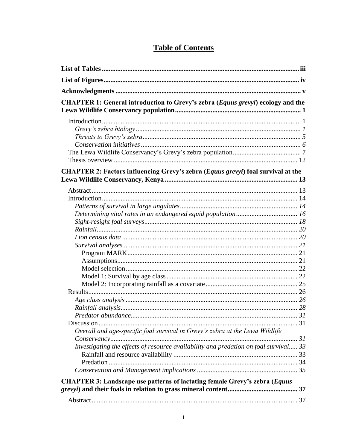| <b>Table of Contents</b> |
|--------------------------|
|--------------------------|

| CHAPTER 1: General introduction to Grevy's zebra (Equus grevyi) ecology and the         |  |
|-----------------------------------------------------------------------------------------|--|
|                                                                                         |  |
| <b>CHAPTER 2: Factors influencing Grevy's zebra (Equus grevyi) foal survival at the</b> |  |
|                                                                                         |  |
|                                                                                         |  |
|                                                                                         |  |
|                                                                                         |  |
|                                                                                         |  |
|                                                                                         |  |
|                                                                                         |  |
|                                                                                         |  |
|                                                                                         |  |
|                                                                                         |  |
|                                                                                         |  |
|                                                                                         |  |
|                                                                                         |  |
|                                                                                         |  |
|                                                                                         |  |
|                                                                                         |  |
|                                                                                         |  |
| 31                                                                                      |  |
| Overall and age-specific foal survival in Grevy's zebra at the Lewa Wildlife            |  |
|                                                                                         |  |
| Investigating the effects of resource availability and predation on foal survival 33    |  |
|                                                                                         |  |
|                                                                                         |  |
|                                                                                         |  |
| <b>CHAPTER 3: Landscape use patterns of lactating female Grevy's zebra (Equus</b>       |  |
|                                                                                         |  |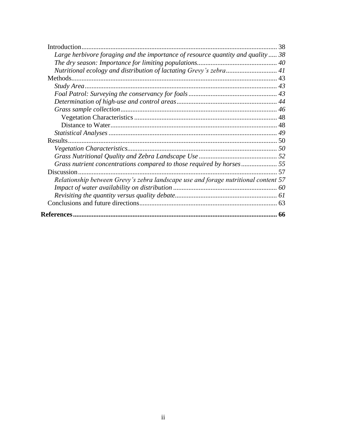| Large herbivore foraging and the importance of resource quantity and quality 38    |     |
|------------------------------------------------------------------------------------|-----|
|                                                                                    |     |
|                                                                                    |     |
|                                                                                    |     |
|                                                                                    |     |
|                                                                                    |     |
|                                                                                    |     |
|                                                                                    |     |
|                                                                                    |     |
|                                                                                    |     |
|                                                                                    |     |
|                                                                                    |     |
|                                                                                    |     |
|                                                                                    |     |
| Grass nutrient concentrations compared to those required by horses                 |     |
| Discussion                                                                         | -57 |
| Relationship between Grevy's zebra landscape use and forage nutritional content 57 |     |
|                                                                                    |     |
|                                                                                    |     |
|                                                                                    |     |
|                                                                                    |     |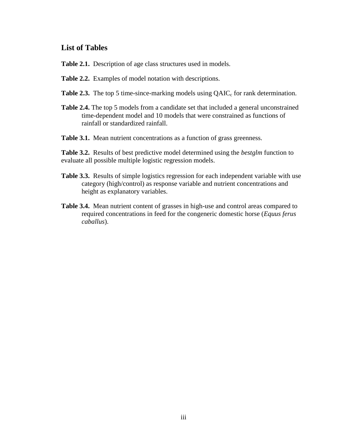# **List of Tables**

- **Table 2.1.** Description of age class structures used in models.
- **Table 2.2.** Examples of model notation with descriptions.
- **Table 2.3.** The top 5 time-since-marking models using  $QAIC_c$  for rank determination.
- **Table 2.4.** The top 5 models from a candidate set that included a general unconstrained time-dependent model and 10 models that were constrained as functions of rainfall or standardized rainfall.
- Table 3.1. Mean nutrient concentrations as a function of grass greenness.

**Table 3.2.** Results of best predictive model determined using the *bestglm* function to evaluate all possible multiple logistic regression models.

- **Table 3.3.** Results of simple logistics regression for each independent variable with use category (high/control) as response variable and nutrient concentrations and height as explanatory variables.
- **Table 3.4.** Mean nutrient content of grasses in high-use and control areas compared to required concentrations in feed for the congeneric domestic horse (*Equus ferus caballus*).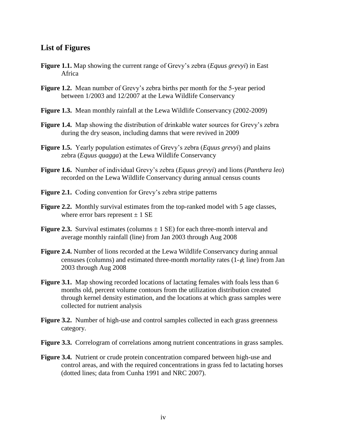# **List of Figures**

- **Figure 1.1.** Map showing the current range of Grevy's zebra (*Equus grevyi*) in East Africa
- **Figure 1.2.** Mean number of Grevy's zebra births per month for the 5-year period between 1/2003 and 12/2007 at the Lewa Wildlife Conservancy
- **Figure 1.3.** Mean monthly rainfall at the Lewa Wildlife Conservancy (2002-2009)
- **Figure 1.4.** Map showing the distribution of drinkable water sources for Grevy's zebra during the dry season, including damns that were revived in 2009
- **Figure 1.5.** Yearly population estimates of Grevy's zebra (*Equus grevyi*) and plains zebra (*Equus quagga*) at the Lewa Wildlife Conservancy
- **Figure 1.6.** Number of individual Grevy's zebra (*Equus grevyi*) and lions (*Panthera leo*) recorded on the Lewa Wildlife Conservancy during annual census counts
- **Figure 2.1.** Coding convention for Grevy's zebra stripe patterns
- **Figure 2.2.** Monthly survival estimates from the top-ranked model with 5 age classes, where error bars represent  $\pm$  1 SE
- **Figure 2.3.** Survival estimates (columns  $\pm$  1 SE) for each three-month interval and average monthly rainfall (line) from Jan 2003 through Aug 2008
- **Figure 2.4.** Number of lions recorded at the Lewa Wildlife Conservancy during annual censuses (columns) and estimated three-month *mortality* rates  $(1-\phi, \text{line})$  from Jan 2003 through Aug 2008
- **Figure 3.1.** Map showing recorded locations of lactating females with foals less than 6 months old, percent volume contours from the utilization distribution created through kernel density estimation, and the locations at which grass samples were collected for nutrient analysis
- **Figure 3.2.** Number of high-use and control samples collected in each grass greenness category.
- **Figure 3.3.** Correlogram of correlations among nutrient concentrations in grass samples.
- **Figure 3.4.** Nutrient or crude protein concentration compared between high-use and control areas, and with the required concentrations in grass fed to lactating horses (dotted lines; data from Cunha 1991 and NRC 2007).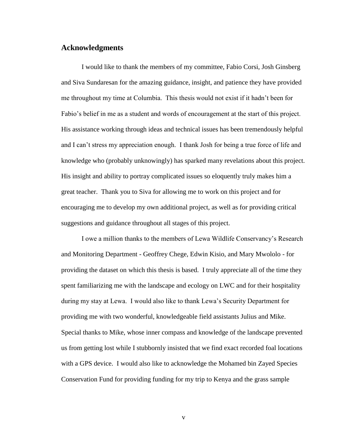# **Acknowledgments**

I would like to thank the members of my committee, Fabio Corsi, Josh Ginsberg and Siva Sundaresan for the amazing guidance, insight, and patience they have provided me throughout my time at Columbia. This thesis would not exist if it hadn't been for Fabio's belief in me as a student and words of encouragement at the start of this project. His assistance working through ideas and technical issues has been tremendously helpful and I can't stress my appreciation enough. I thank Josh for being a true force of life and knowledge who (probably unknowingly) has sparked many revelations about this project. His insight and ability to portray complicated issues so eloquently truly makes him a great teacher. Thank you to Siva for allowing me to work on this project and for encouraging me to develop my own additional project, as well as for providing critical suggestions and guidance throughout all stages of this project.

I owe a million thanks to the members of Lewa Wildlife Conservancy's Research and Monitoring Department - Geoffrey Chege, Edwin Kisio, and Mary Mwololo - for providing the dataset on which this thesis is based. I truly appreciate all of the time they spent familiarizing me with the landscape and ecology on LWC and for their hospitality during my stay at Lewa. I would also like to thank Lewa's Security Department for providing me with two wonderful, knowledgeable field assistants Julius and Mike. Special thanks to Mike, whose inner compass and knowledge of the landscape prevented us from getting lost while I stubbornly insisted that we find exact recorded foal locations with a GPS device. I would also like to acknowledge the Mohamed bin Zayed Species Conservation Fund for providing funding for my trip to Kenya and the grass sample

v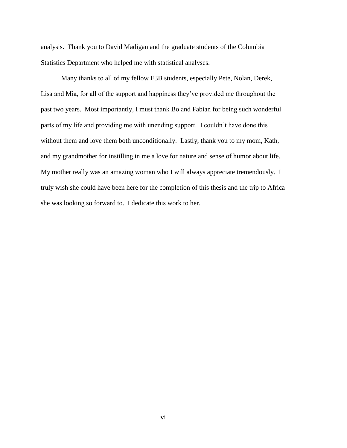analysis. Thank you to David Madigan and the graduate students of the Columbia Statistics Department who helped me with statistical analyses.

Many thanks to all of my fellow E3B students, especially Pete, Nolan, Derek, Lisa and Mia, for all of the support and happiness they've provided me throughout the past two years. Most importantly, I must thank Bo and Fabian for being such wonderful parts of my life and providing me with unending support. I couldn't have done this without them and love them both unconditionally. Lastly, thank you to my mom, Kath, and my grandmother for instilling in me a love for nature and sense of humor about life. My mother really was an amazing woman who I will always appreciate tremendously. I truly wish she could have been here for the completion of this thesis and the trip to Africa she was looking so forward to. I dedicate this work to her.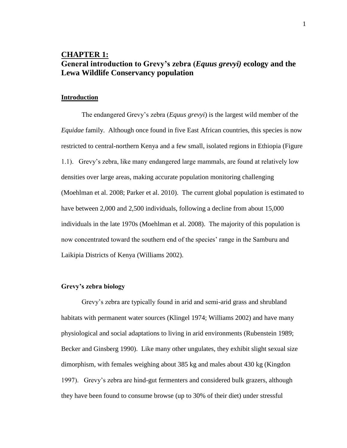# **CHAPTER 1: General introduction to Grevy"s zebra (***Equus grevyi)* **ecology and the Lewa Wildlife Conservancy population**

#### **Introduction**

The endangered Grevy's zebra (*Equus grevyi*) is the largest wild member of the *Equidae* family. Although once found in five East African countries, this species is now restricted to central-northern Kenya and a few small, isolated regions in Ethiopia (Figure 1.1). Grevy's zebra, like many endangered large mammals, are found at relatively low densities over large areas, making accurate population monitoring challenging (Moehlman et al. 2008; Parker et al. 2010). The current global population is estimated to have between 2,000 and 2,500 individuals, following a decline from about 15,000 individuals in the late 1970s (Moehlman et al. 2008). The majority of this population is now concentrated toward the southern end of the species' range in the Samburu and Laikipia Districts of Kenya (Williams 2002).

#### **Grevy"s zebra biology**

Grevy's zebra are typically found in arid and semi-arid grass and shrubland habitats with permanent water sources (Klingel 1974; Williams 2002) and have many physiological and social adaptations to living in arid environments (Rubenstein 1989; Becker and Ginsberg 1990). Like many other ungulates, they exhibit slight sexual size dimorphism, with females weighing about 385 kg and males about 430 kg (Kingdon 1997). Grevy's zebra are hind-gut fermenters and considered bulk grazers, although they have been found to consume browse (up to 30% of their diet) under stressful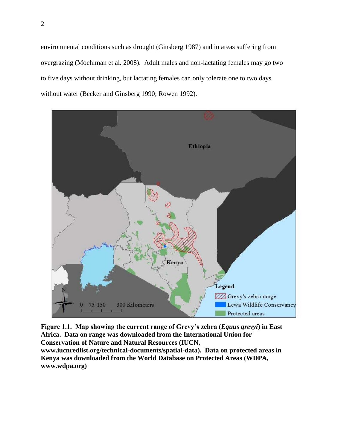environmental conditions such as drought (Ginsberg 1987) and in areas suffering from overgrazing (Moehlman et al. 2008). Adult males and non-lactating females may go two to five days without drinking, but lactating females can only tolerate one to two days without water (Becker and Ginsberg 1990; Rowen 1992).



**Figure 1.1. Map showing the current range of Grevy"s zebra (***Equus grevyi***) in East Africa. Data on range was downloaded from the International Union for Conservation of Nature and Natural Resources (IUCN, www.iucnredlist.org/technical-documents/spatial-data). Data on protected areas in Kenya was downloaded from the World Database on Protected Areas (WDPA, www.wdpa.org)**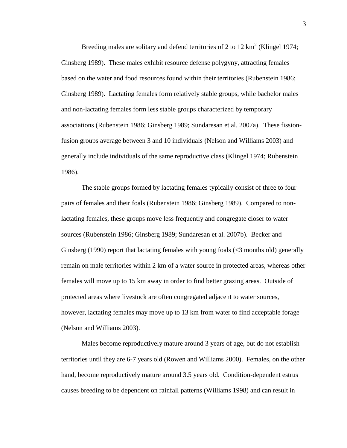Breeding males are solitary and defend territories of 2 to 12  $\text{km}^2$  (Klingel 1974; Ginsberg 1989). These males exhibit resource defense polygyny, attracting females based on the water and food resources found within their territories (Rubenstein 1986; Ginsberg 1989). Lactating females form relatively stable groups, while bachelor males and non-lactating females form less stable groups characterized by temporary associations (Rubenstein 1986; Ginsberg 1989; Sundaresan et al. 2007a). These fissionfusion groups average between 3 and 10 individuals (Nelson and Williams 2003) and generally include individuals of the same reproductive class (Klingel 1974; Rubenstein 1986).

The stable groups formed by lactating females typically consist of three to four pairs of females and their foals (Rubenstein 1986; Ginsberg 1989). Compared to nonlactating females, these groups move less frequently and congregate closer to water sources (Rubenstein 1986; Ginsberg 1989; Sundaresan et al. 2007b). Becker and Ginsberg (1990) report that lactating females with young foals (<3 months old) generally remain on male territories within 2 km of a water source in protected areas, whereas other females will move up to 15 km away in order to find better grazing areas. Outside of protected areas where livestock are often congregated adjacent to water sources, however, lactating females may move up to 13 km from water to find acceptable forage (Nelson and Williams 2003).

Males become reproductively mature around 3 years of age, but do not establish territories until they are 6-7 years old (Rowen and Williams 2000). Females, on the other hand, become reproductively mature around 3.5 years old. Condition-dependent estrus causes breeding to be dependent on rainfall patterns (Williams 1998) and can result in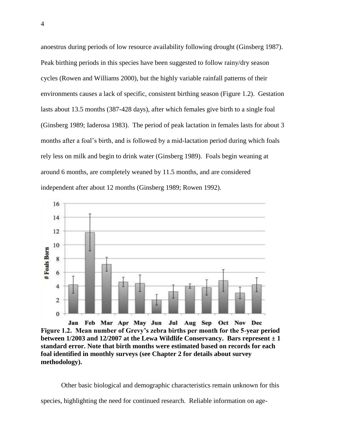anoestrus during periods of low resource availability following drought (Ginsberg 1987). Peak birthing periods in this species have been suggested to follow rainy/dry season cycles (Rowen and Williams 2000), but the highly variable rainfall patterns of their environments causes a lack of specific, consistent birthing season (Figure 1.2). Gestation lasts about 13.5 months (387-428 days), after which females give birth to a single foal (Ginsberg 1989; Iaderosa 1983). The period of peak lactation in females lasts for about 3 months after a foal's birth, and is followed by a mid-lactation period during which foals rely less on milk and begin to drink water (Ginsberg 1989). Foals begin weaning at around 6 months, are completely weaned by 11.5 months, and are considered independent after about 12 months (Ginsberg 1989; Rowen 1992).



Jan Feb Mar Apr May Jun Jul Aug Sep Oct Nov Dec **Figure 1.2. Mean number of Grevy"s zebra births per month for the 5-year period between 1/2003 and 12/2007 at the Lewa Wildlife Conservancy. Bars represent**  $\pm 1$ **standard error. Note that birth months were estimated based on records for each foal identified in monthly surveys (see Chapter 2 for details about survey methodology).**

Other basic biological and demographic characteristics remain unknown for this

species, highlighting the need for continued research. Reliable information on age-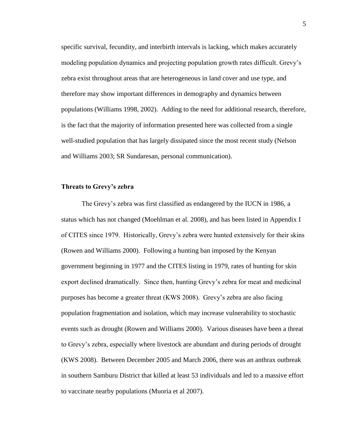specific survival, fecundity, and interbirth intervals is lacking, which makes accurately modeling population dynamics and projecting population growth rates difficult. Grevy's zebra exist throughout areas that are heterogeneous in land cover and use type, and therefore may show important differences in demography and dynamics between populations (Williams 1998, 2002). Adding to the need for additional research, therefore, is the fact that the majority of information presented here was collected from a single well-studied population that has largely dissipated since the most recent study (Nelson and Williams 2003; SR Sundaresan, personal communication).

#### **Threats to Grevy"s zebra**

The Grevy's zebra was first classified as endangered by the IUCN in 1986, a status which has not changed (Moehlman et al. 2008), and has been listed in Appendix I of CITES since 1979. Historically, Grevy's zebra were hunted extensively for their skins (Rowen and Williams 2000). Following a hunting ban imposed by the Kenyan government beginning in 1977 and the CITES listing in 1979, rates of hunting for skin export declined dramatically. Since then, hunting Grevy's zebra for meat and medicinal purposes has become a greater threat (KWS 2008). Grevy's zebra are also facing population fragmentation and isolation, which may increase vulnerability to stochastic events such as drought (Rowen and Williams 2000). Various diseases have been a threat to Grevy's zebra, especially where livestock are abundant and during periods of drought (KWS 2008). Between December 2005 and March 2006, there was an anthrax outbreak in southern Samburu District that killed at least 53 individuals and led to a massive effort to vaccinate nearby populations (Muoria et al 2007).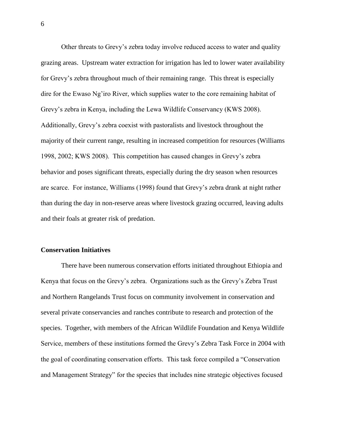Other threats to Grevy's zebra today involve reduced access to water and quality grazing areas. Upstream water extraction for irrigation has led to lower water availability for Grevy's zebra throughout much of their remaining range. This threat is especially dire for the Ewaso Ng'iro River, which supplies water to the core remaining habitat of Grevy's zebra in Kenya, including the Lewa Wildlife Conservancy (KWS 2008). Additionally, Grevy's zebra coexist with pastoralists and livestock throughout the majority of their current range, resulting in increased competition for resources (Williams 1998, 2002; KWS 2008). This competition has caused changes in Grevy's zebra behavior and poses significant threats, especially during the dry season when resources are scarce. For instance, Williams (1998) found that Grevy's zebra drank at night rather than during the day in non-reserve areas where livestock grazing occurred, leaving adults and their foals at greater risk of predation.

### **Conservation Initiatives**

There have been numerous conservation efforts initiated throughout Ethiopia and Kenya that focus on the Grevy's zebra. Organizations such as the Grevy's Zebra Trust and Northern Rangelands Trust focus on community involvement in conservation and several private conservancies and ranches contribute to research and protection of the species. Together, with members of the African Wildlife Foundation and Kenya Wildlife Service, members of these institutions formed the Grevy's Zebra Task Force in 2004 with the goal of coordinating conservation efforts. This task force compiled a "Conservation and Management Strategy" for the species that includes nine strategic objectives focused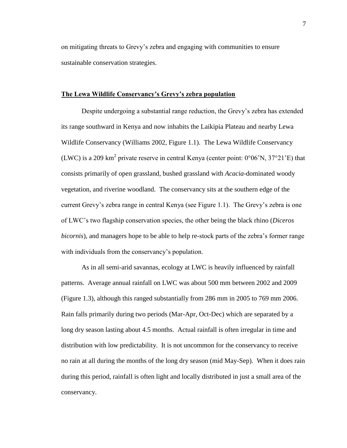on mitigating threats to Grevy's zebra and engaging with communities to ensure sustainable conservation strategies.

#### **The Lewa Wildlife Conservancy"s Grevy"s zebra population**

Despite undergoing a substantial range reduction, the Grevy's zebra has extended its range southward in Kenya and now inhabits the Laikipia Plateau and nearby Lewa Wildlife Conservancy (Williams 2002, Figure 1.1). The Lewa Wildlife Conservancy (LWC) is a 209 km<sup>2</sup> private reserve in central Kenya (center point:  $0^{\circ}06'N$ ,  $37^{\circ}21'E$ ) that consists primarily of open grassland, bushed grassland with *Acacia*-dominated woody vegetation, and riverine woodland. The conservancy sits at the southern edge of the current Grevy's zebra range in central Kenya (see Figure 1.1). The Grevy's zebra is one of LWC's two flagship conservation species, the other being the black rhino (*Diceros bicornis*), and managers hope to be able to help re-stock parts of the zebra's former range with individuals from the conservancy's population.

As in all semi-arid savannas, ecology at LWC is heavily influenced by rainfall patterns. Average annual rainfall on LWC was about 500 mm between 2002 and 2009 (Figure 1.3), although this ranged substantially from 286 mm in 2005 to 769 mm 2006. Rain falls primarily during two periods (Mar-Apr, Oct-Dec) which are separated by a long dry season lasting about 4.5 months. Actual rainfall is often irregular in time and distribution with low predictability. It is not uncommon for the conservancy to receive no rain at all during the months of the long dry season (mid May-Sep). When it does rain during this period, rainfall is often light and locally distributed in just a small area of the conservancy.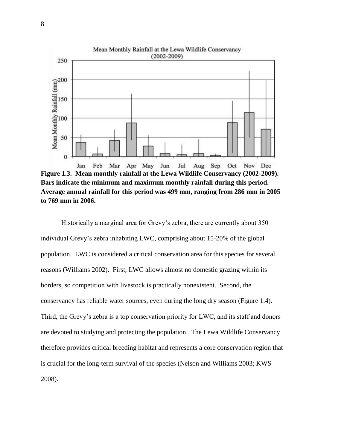

**Figure 1.3. Mean monthly rainfall at the Lewa Wildlife Conservancy (2002-2009). Bars indicate the minimum and maximum monthly rainfall during this period. Average annual rainfall for this period was 499 mm, ranging from 286 mm in 2005 to 769 mm in 2006.**

Historically a marginal area for Grevy's zebra, there are currently about 350 individual Grevy's zebra inhabiting LWC, comprising about 15-20% of the global population. LWC is considered a critical conservation area for this species for several reasons (Williams 2002). First, LWC allows almost no domestic grazing within its borders, so competition with livestock is practically nonexistent. Second, the conservancy has reliable water sources, even during the long dry season (Figure 1.4). Third, the Grevy's zebra is a top conservation priority for LWC, and its staff and donors are devoted to studying and protecting the population. The Lewa Wildlife Conservancy therefore provides critical breeding habitat and represents a core conservation region that is crucial for the long-term survival of the species (Nelson and Williams 2003; KWS 2008).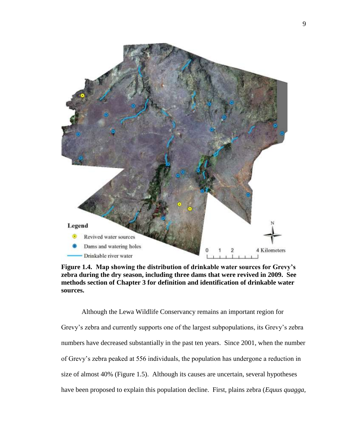

**Figure 1.4. Map showing the distribution of drinkable water sources for Grevy"s zebra during the dry season, including three dams that were revived in 2009. See methods section of Chapter 3 for definition and identification of drinkable water sources.**

Although the Lewa Wildlife Conservancy remains an important region for Grevy's zebra and currently supports one of the largest subpopulations, its Grevy's zebra numbers have decreased substantially in the past ten years. Since 2001, when the number of Grevy's zebra peaked at 556 individuals, the population has undergone a reduction in size of almost 40% (Figure 1.5). Although its causes are uncertain, several hypotheses have been proposed to explain this population decline. First, plains zebra (*Equus quagga,*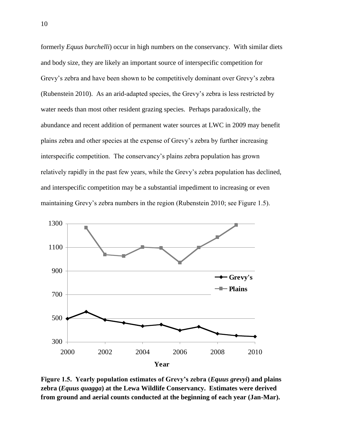formerly *Equus burchelli*) occur in high numbers on the conservancy. With similar diets and body size, they are likely an important source of interspecific competition for Grevy's zebra and have been shown to be competitively dominant over Grevy's zebra (Rubenstein 2010). As an arid-adapted species, the Grevy's zebra is less restricted by water needs than most other resident grazing species. Perhaps paradoxically, the abundance and recent addition of permanent water sources at LWC in 2009 may benefit plains zebra and other species at the expense of Grevy's zebra by further increasing interspecific competition. The conservancy's plains zebra population has grown relatively rapidly in the past few years, while the Grevy's zebra population has declined, and interspecific competition may be a substantial impediment to increasing or even maintaining Grevy's zebra numbers in the region (Rubenstein 2010; see Figure 1.5).



**Figure 1.5. Yearly population estimates of Grevy"s zebra (***Equus grevyi***) and plains zebra (***Equus quagga***) at the Lewa Wildlife Conservancy. Estimates were derived from ground and aerial counts conducted at the beginning of each year (Jan-Mar).**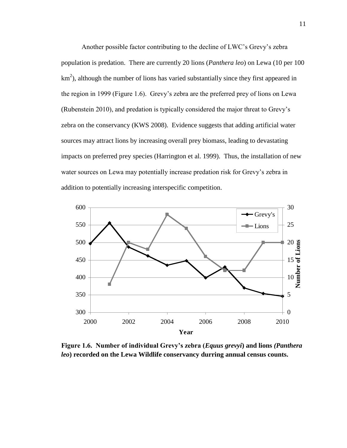Another possible factor contributing to the decline of LWC's Grevy's zebra population is predation. There are currently 20 lions (*Panthera leo*) on Lewa (10 per 100  $km<sup>2</sup>$ ), although the number of lions has varied substantially since they first appeared in the region in 1999 (Figure 1.6). Grevy's zebra are the preferred prey of lions on Lewa (Rubenstein 2010), and predation is typically considered the major threat to Grevy's zebra on the conservancy (KWS 2008). Evidence suggests that adding artificial water sources may attract lions by increasing overall prey biomass, leading to devastating impacts on preferred prey species (Harrington et al. 1999). Thus, the installation of new water sources on Lewa may potentially increase predation risk for Grevy's zebra in addition to potentially increasing interspecific competition.



**Figure 1.6. Number of individual Grevy"s zebra (***Equus grevyi***) and lions** *(Panthera leo***) recorded on the Lewa Wildlife conservancy durring annual census counts.**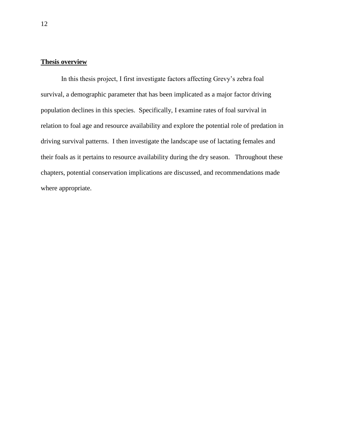# **Thesis overview**

In this thesis project, I first investigate factors affecting Grevy's zebra foal survival, a demographic parameter that has been implicated as a major factor driving population declines in this species. Specifically, I examine rates of foal survival in relation to foal age and resource availability and explore the potential role of predation in driving survival patterns. I then investigate the landscape use of lactating females and their foals as it pertains to resource availability during the dry season. Throughout these chapters, potential conservation implications are discussed, and recommendations made where appropriate.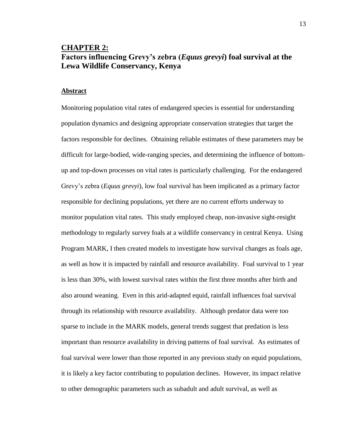# **CHAPTER 2: Factors influencing Grevy"s zebra (***Equus grevyi***) foal survival at the Lewa Wildlife Conservancy, Kenya**

#### **Abstract**

Monitoring population vital rates of endangered species is essential for understanding population dynamics and designing appropriate conservation strategies that target the factors responsible for declines. Obtaining reliable estimates of these parameters may be difficult for large-bodied, wide-ranging species, and determining the influence of bottomup and top-down processes on vital rates is particularly challenging. For the endangered Grevy's zebra (*Equus grevyi*), low foal survival has been implicated as a primary factor responsible for declining populations, yet there are no current efforts underway to monitor population vital rates. This study employed cheap, non-invasive sight-resight methodology to regularly survey foals at a wildlife conservancy in central Kenya. Using Program MARK, I then created models to investigate how survival changes as foals age, as well as how it is impacted by rainfall and resource availability. Foal survival to 1 year is less than 30%, with lowest survival rates within the first three months after birth and also around weaning. Even in this arid-adapted equid, rainfall influences foal survival through its relationship with resource availability. Although predator data were too sparse to include in the MARK models, general trends suggest that predation is less important than resource availability in driving patterns of foal survival. As estimates of foal survival were lower than those reported in any previous study on equid populations, it is likely a key factor contributing to population declines. However, its impact relative to other demographic parameters such as subadult and adult survival, as well as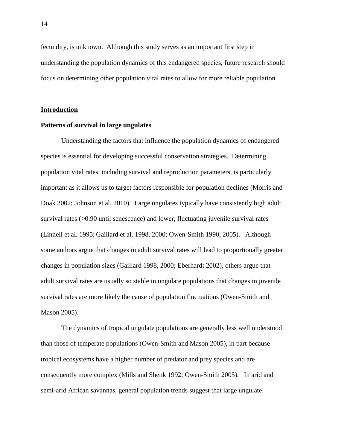fecundity, is unknown. Although this study serves as an important first step in understanding the population dynamics of this endangered species, future research should focus on determining other population vital rates to allow for more reliable population.

#### **Introduction**

#### **Patterns of survival in large ungulates**

Understanding the factors that influence the population dynamics of endangered species is essential for developing successful conservation strategies. Determining population vital rates, including survival and reproduction parameters, is particularly important as it allows us to target factors responsible for population declines (Morris and Doak 2002; Johnson et al. 2010). Large ungulates typically have consistently high adult survival rates (>0.90 until senescence) and lower, fluctuating juvenile survival rates (Linnell et al. 1995; Gaillard et al. 1998, 2000; Owen-Smith 1990, 2005). Although some authors argue that changes in adult survival rates will lead to proportionally greater changes in population sizes (Gaillard 1998, 2000; Eberhardt 2002), others argue that adult survival rates are usually so stable in ungulate populations that changes in juvenile survival rates are more likely the cause of population fluctuations (Owen-Smith and Mason 2005).

The dynamics of tropical ungulate populations are generally less well understood than those of temperate populations (Owen-Smith and Mason 2005), in part because tropical ecosystems have a higher number of predator and prey species and are consequently more complex (Mills and Shenk 1992; Owen-Smith 2005). In arid and semi-arid African savannas, general population trends suggest that large ungulate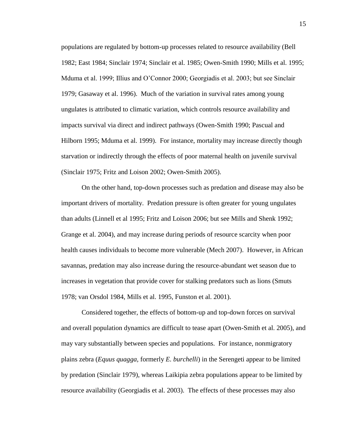populations are regulated by bottom-up processes related to resource availability (Bell 1982; East 1984; Sinclair 1974; Sinclair et al. 1985; Owen-Smith 1990; Mills et al. 1995; Mduma et al. 1999; Illius and O'Connor 2000; Georgiadis et al. 2003; but see Sinclair 1979; Gasaway et al. 1996). Much of the variation in survival rates among young ungulates is attributed to climatic variation, which controls resource availability and impacts survival via direct and indirect pathways (Owen-Smith 1990; Pascual and Hilborn 1995; Mduma et al. 1999). For instance, mortality may increase directly though starvation or indirectly through the effects of poor maternal health on juvenile survival (Sinclair 1975; Fritz and Loison 2002; Owen-Smith 2005).

On the other hand, top-down processes such as predation and disease may also be important drivers of mortality. Predation pressure is often greater for young ungulates than adults (Linnell et al 1995; Fritz and Loison 2006; but see Mills and Shenk 1992; Grange et al. 2004), and may increase during periods of resource scarcity when poor health causes individuals to become more vulnerable (Mech 2007). However, in African savannas, predation may also increase during the resource-abundant wet season due to increases in vegetation that provide cover for stalking predators such as lions (Smuts 1978; van Orsdol 1984, Mills et al. 1995, Funston et al. 2001).

Considered together, the effects of bottom-up and top-down forces on survival and overall population dynamics are difficult to tease apart (Owen-Smith et al. 2005), and may vary substantially between species and populations. For instance, nonmigratory plains zebra (*Equus quagga,* formerly *E. burchelli*) in the Serengeti appear to be limited by predation (Sinclair 1979), whereas Laikipia zebra populations appear to be limited by resource availability (Georgiadis et al. 2003). The effects of these processes may also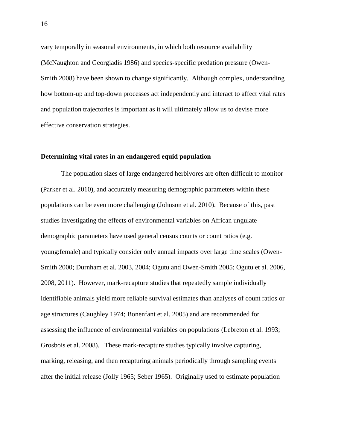vary temporally in seasonal environments, in which both resource availability (McNaughton and Georgiadis 1986) and species-specific predation pressure (Owen-Smith 2008) have been shown to change significantly. Although complex, understanding how bottom-up and top-down processes act independently and interact to affect vital rates and population trajectories is important as it will ultimately allow us to devise more effective conservation strategies.

#### **Determining vital rates in an endangered equid population**

The population sizes of large endangered herbivores are often difficult to monitor (Parker et al. 2010), and accurately measuring demographic parameters within these populations can be even more challenging (Johnson et al. 2010). Because of this, past studies investigating the effects of environmental variables on African ungulate demographic parameters have used general census counts or count ratios (e.g. young:female) and typically consider only annual impacts over large time scales (Owen-Smith 2000; Durnham et al. 2003, 2004; Ogutu and Owen-Smith 2005; Ogutu et al. 2006, 2008, 2011). However, mark-recapture studies that repeatedly sample individually identifiable animals yield more reliable survival estimates than analyses of count ratios or age structures (Caughley 1974; Bonenfant et al. 2005) and are recommended for assessing the influence of environmental variables on populations (Lebreton et al. 1993; Grosbois et al. 2008). These mark-recapture studies typically involve capturing, marking, releasing, and then recapturing animals periodically through sampling events after the initial release (Jolly 1965; Seber 1965). Originally used to estimate population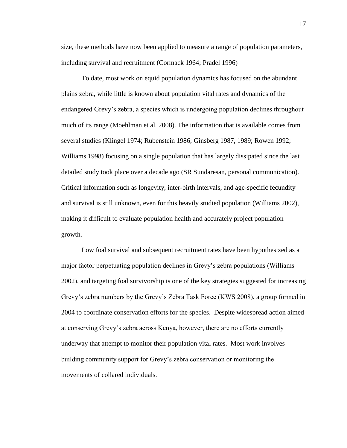size, these methods have now been applied to measure a range of population parameters, including survival and recruitment (Cormack 1964; Pradel 1996)

To date, most work on equid population dynamics has focused on the abundant plains zebra, while little is known about population vital rates and dynamics of the endangered Grevy's zebra, a species which is undergoing population declines throughout much of its range (Moehlman et al. 2008). The information that is available comes from several studies (Klingel 1974; Rubenstein 1986; Ginsberg 1987, 1989; Rowen 1992; Williams 1998) focusing on a single population that has largely dissipated since the last detailed study took place over a decade ago (SR Sundaresan, personal communication). Critical information such as longevity, inter-birth intervals, and age-specific fecundity and survival is still unknown, even for this heavily studied population (Williams 2002), making it difficult to evaluate population health and accurately project population growth.

Low foal survival and subsequent recruitment rates have been hypothesized as a major factor perpetuating population declines in Grevy's zebra populations (Williams 2002), and targeting foal survivorship is one of the key strategies suggested for increasing Grevy's zebra numbers by the Grevy's Zebra Task Force (KWS 2008), a group formed in 2004 to coordinate conservation efforts for the species. Despite widespread action aimed at conserving Grevy's zebra across Kenya, however, there are no efforts currently underway that attempt to monitor their population vital rates. Most work involves building community support for Grevy's zebra conservation or monitoring the movements of collared individuals.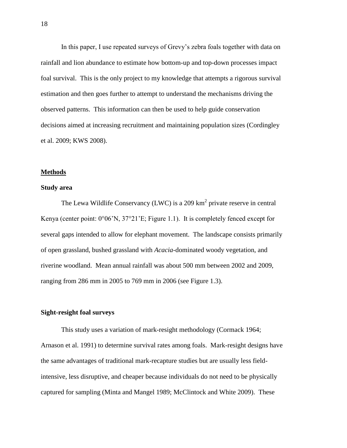In this paper, I use repeated surveys of Grevy's zebra foals together with data on rainfall and lion abundance to estimate how bottom-up and top-down processes impact foal survival. This is the only project to my knowledge that attempts a rigorous survival estimation and then goes further to attempt to understand the mechanisms driving the observed patterns. This information can then be used to help guide conservation decisions aimed at increasing recruitment and maintaining population sizes (Cordingley et al. 2009; KWS 2008).

#### **Methods**

#### **Study area**

The Lewa Wildlife Conservancy (LWC) is a 209  $km^2$  private reserve in central Kenya (center point: 0°06'N, 37°21'E; Figure 1.1). It is completely fenced except for several gaps intended to allow for elephant movement. The landscape consists primarily of open grassland, bushed grassland with *Acacia*-dominated woody vegetation, and riverine woodland. Mean annual rainfall was about 500 mm between 2002 and 2009, ranging from 286 mm in 2005 to 769 mm in 2006 (see Figure 1.3).

#### **Sight-resight foal surveys**

This study uses a variation of mark-resight methodology (Cormack 1964; Arnason et al. 1991) to determine survival rates among foals. Mark-resight designs have the same advantages of traditional mark-recapture studies but are usually less fieldintensive, less disruptive, and cheaper because individuals do not need to be physically captured for sampling (Minta and Mangel 1989; McClintock and White 2009). These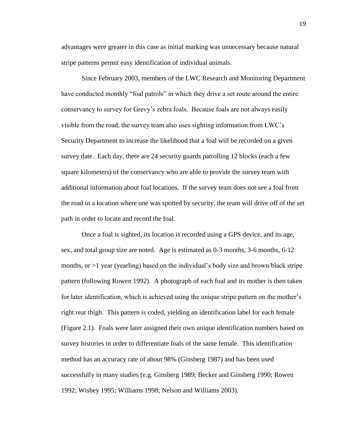advantages were greater in this case as initial marking was unnecessary because natural stripe patterns permit easy identification of individual animals.

Since February 2003, members of the LWC Research and Monitoring Department have conducted monthly "foal patrols" in which they drive a set route around the entire conservancy to survey for Grevy's zebra foals. Because foals are not always easily visible from the road, the survey team also uses sighting information from LWC's Security Department to increase the likelihood that a foal will be recorded on a given survey date. Each day, there are 24 security guards patrolling 12 blocks (each a few square kilometers) of the conservancy who are able to provide the survey team with additional information about foal locations. If the survey team does not see a foal from the road in a location where one was spotted by security, the team will drive off of the set path in order to locate and record the foal.

Once a foal is sighted, its location is recorded using a GPS device, and its age, sex, and total group size are noted. Age is estimated as 0-3 months, 3-6 months, 6-12 months, or >1 year (yearling) based on the individual's body size and brown/black stripe pattern (following Rowen 1992). A photograph of each foal and its mother is then taken for later identification, which is achieved using the unique stripe pattern on the mother's right rear thigh. This pattern is coded, yielding an identification label for each female (Figure 2.1). Foals were later assigned their own unique identification numbers based on survey histories in order to differentiate foals of the same female. This identification method has an accuracy rate of about 98% (Ginsberg 1987) and has been used successfully in many studies (e.g. Ginsberg 1989; Becker and Ginsberg 1990; Rowen 1992; Wisbey 1995; Williams 1998; Nelson and Williams 2003).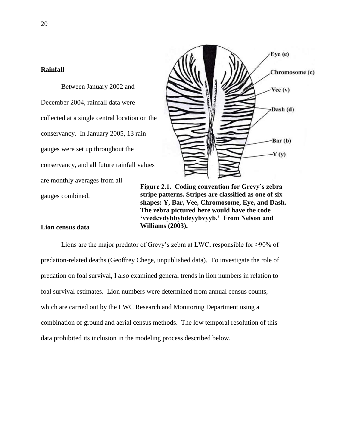# **Rainfall**

Between January 2002 and December 2004, rainfall data were collected at a single central location on the conservancy. In January 2005, 13 rain gauges were set up throughout the conservancy, and all future rainfall values are monthly averages from all gauges combined.



**Figure 2.1. Coding convention for Grevy"s zebra stripe patterns. Stripes are classified as one of six shapes: Y, Bar, Vee, Chromosome, Eye, and Dash. The zebra pictured here would have the code "vvedcvdybbybdeyybvyyb." From Nelson and Williams (2003).**

### **Lion census data**

Lions are the major predator of Grevy's zebra at LWC, responsible for >90% of predation-related deaths (Geoffrey Chege, unpublished data). To investigate the role of predation on foal survival, I also examined general trends in lion numbers in relation to foal survival estimates. Lion numbers were determined from annual census counts, which are carried out by the LWC Research and Monitoring Department using a combination of ground and aerial census methods. The low temporal resolution of this data prohibited its inclusion in the modeling process described below.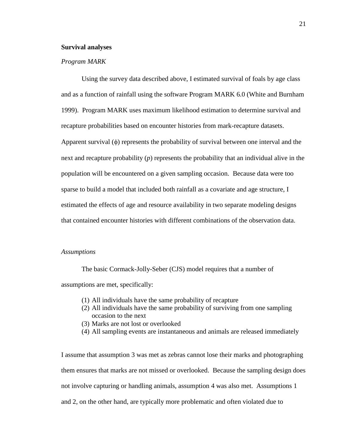#### **Survival analyses**

#### *Program MARK*

Using the survey data described above, I estimated survival of foals by age class and as a function of rainfall using the software Program MARK 6.0 (White and Burnham 1999). Program MARK uses maximum likelihood estimation to determine survival and recapture probabilities based on encounter histories from mark-recapture datasets. Apparent survival  $(\phi)$  represents the probability of survival between one interval and the next and recapture probability (*p*) represents the probability that an individual alive in the population will be encountered on a given sampling occasion. Because data were too sparse to build a model that included both rainfall as a covariate and age structure, I estimated the effects of age and resource availability in two separate modeling designs that contained encounter histories with different combinations of the observation data.

### *Assumptions*

The basic Cormack-Jolly-Seber (CJS) model requires that a number of assumptions are met, specifically:

- (1) All individuals have the same probability of recapture
- (2) All individuals have the same probability of surviving from one sampling occasion to the next
- (3) Marks are not lost or overlooked
- (4) All sampling events are instantaneous and animals are released immediately

I assume that assumption 3 was met as zebras cannot lose their marks and photographing them ensures that marks are not missed or overlooked. Because the sampling design does not involve capturing or handling animals, assumption 4 was also met. Assumptions 1 and 2, on the other hand, are typically more problematic and often violated due to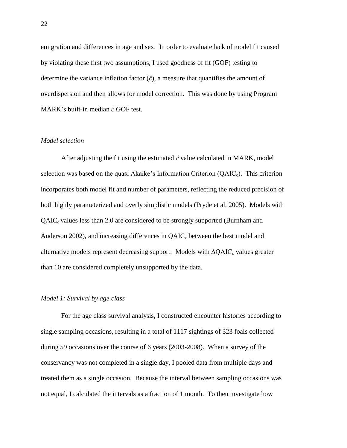emigration and differences in age and sex. In order to evaluate lack of model fit caused by violating these first two assumptions, I used goodness of fit (GOF) testing to determine the variance inflation factor  $(\hat{c})$ , a measure that quantifies the amount of overdispersion and then allows for model correction. This was done by using Program MARK's built-in median *ĉ* GOF test.

#### *Model selection*

After adjusting the fit using the estimated  $\hat{c}$  value calculated in MARK, model selection was based on the quasi Akaike's Information Criterion  $(QAIC<sub>c</sub>)$ . This criterion incorporates both model fit and number of parameters, reflecting the reduced precision of both highly parameterized and overly simplistic models (Pryde et al. 2005). Models with  $QAIC<sub>c</sub>$  values less than 2.0 are considered to be strongly supported (Burnham and Anderson 2002), and increasing differences in  $QAIC<sub>c</sub>$  between the best model and alternative models represent decreasing support. Models with ∆QAIC<sub>c</sub> values greater than 10 are considered completely unsupported by the data.

#### *Model 1: Survival by age class*

For the age class survival analysis, I constructed encounter histories according to single sampling occasions, resulting in a total of 1117 sightings of 323 foals collected during 59 occasions over the course of 6 years (2003-2008). When a survey of the conservancy was not completed in a single day, I pooled data from multiple days and treated them as a single occasion. Because the interval between sampling occasions was not equal, I calculated the intervals as a fraction of 1 month. To then investigate how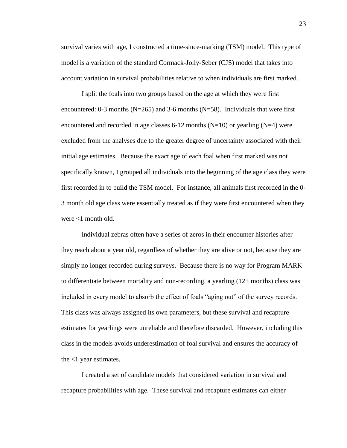survival varies with age, I constructed a time-since-marking (TSM) model. This type of model is a variation of the standard Cormack-Jolly-Seber (CJS) model that takes into account variation in survival probabilities relative to when individuals are first marked.

I split the foals into two groups based on the age at which they were first encountered: 0-3 months ( $N=265$ ) and 3-6 months ( $N=58$ ). Individuals that were first encountered and recorded in age classes 6-12 months  $(N=10)$  or yearling  $(N=4)$  were excluded from the analyses due to the greater degree of uncertainty associated with their initial age estimates. Because the exact age of each foal when first marked was not specifically known, I grouped all individuals into the beginning of the age class they were first recorded in to build the TSM model. For instance, all animals first recorded in the 0- 3 month old age class were essentially treated as if they were first encountered when they were <1 month old.

Individual zebras often have a series of zeros in their encounter histories after they reach about a year old, regardless of whether they are alive or not, because they are simply no longer recorded during surveys. Because there is no way for Program MARK to differentiate between mortality and non-recording, a yearling (12+ months) class was included in every model to absorb the effect of foals "aging out" of the survey records. This class was always assigned its own parameters, but these survival and recapture estimates for yearlings were unreliable and therefore discarded. However, including this class in the models avoids underestimation of foal survival and ensures the accuracy of the <1 year estimates.

I created a set of candidate models that considered variation in survival and recapture probabilities with age. These survival and recapture estimates can either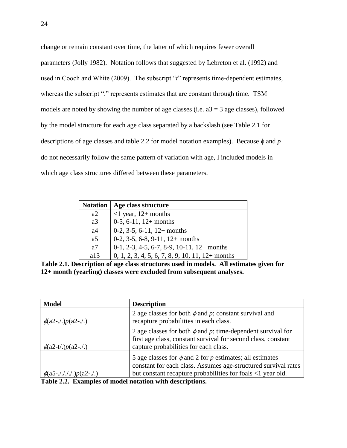change or remain constant over time, the latter of which requires fewer overall parameters (Jolly 1982). Notation follows that suggested by Lebreton et al. (1992) and used in Cooch and White (2009). The subscript "*t*" represents time-dependent estimates, whereas the subscript "." represents estimates that are constant through time. TSM models are noted by showing the number of age classes (i.e.  $a3 = 3$  age classes), followed by the model structure for each age class separated by a backslash (see Table 2.1 for descriptions of age classes and table 2.2 for model notation examples). Because  $\phi$  and  $p$ do not necessarily follow the same pattern of variation with age, I included models in which age class structures differed between these parameters.

| <b>Notation</b> | Age class structure                                |
|-----------------|----------------------------------------------------|
| a2              | $\leq$ 1 year, 12+ months                          |
| a3              | $0-5$ , 6-11, 12+ months                           |
| a <sub>4</sub>  | $0-2$ , 3-5, 6-11, 12+ months                      |
| a <sub>5</sub>  | $0-2$ , $3-5$ , $6-8$ , $9-11$ , $12+$ months      |
| a7              | $0-1$ , 2-3, 4-5, 6-7, 8-9, 10-11, 12+ months      |
| a13             | $0, 1, 2, 3, 4, 5, 6, 7, 8, 9, 10, 11, 12+$ months |

**Table 2.1. Description of age class structures used in models. All estimates given for 12+ month (yearling) classes were excluded from subsequent analyses.**

| <b>Model</b>                       | <b>Description</b>                                                                                                                                                                             |
|------------------------------------|------------------------------------------------------------------------------------------------------------------------------------------------------------------------------------------------|
| $\phi$ (a2-./.) $p$ (a2-./.)       | 2 age classes for both $\phi$ and p; constant survival and<br>recapture probabilities in each class.                                                                                           |
| $\phi$ (a2-t/.) $p$ (a2-./.)       | 2 age classes for both $\phi$ and p; time-dependent survival for<br>first age class, constant survival for second class, constant<br>capture probabilities for each class.                     |
| $\phi$ (a5-././././.) $p$ (a2-./.) | 5 age classes for $\phi$ and 2 for p estimates; all estimates<br>constant for each class. Assumes age-structured survival rates<br>but constant recapture probabilities for foals <1 year old. |

**Table 2.2. Examples of model notation with descriptions.**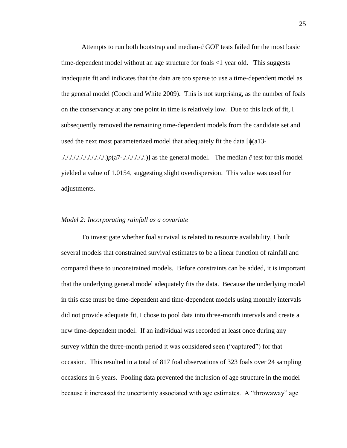Attempts to run both bootstrap and median-*ĉ* GOF tests failed for the most basic time-dependent model without an age structure for foals <1 year old. This suggests inadequate fit and indicates that the data are too sparse to use a time-dependent model as the general model (Cooch and White 2009). This is not surprising, as the number of foals on the conservancy at any one point in time is relatively low. Due to this lack of fit, I subsequently removed the remaining time-dependent models from the candidate set and used the next most parameterized model that adequately fit the data  $\lceil \phi(a) \rceil$ 3-././././././././././././.)*p*(a7-././././././.)] as the general model. The median *ĉ* test for this model yielded a value of 1.0154, suggesting slight overdispersion. This value was used for adjustments.

#### *Model 2: Incorporating rainfall as a covariate*

To investigate whether foal survival is related to resource availability, I built several models that constrained survival estimates to be a linear function of rainfall and compared these to unconstrained models. Before constraints can be added, it is important that the underlying general model adequately fits the data. Because the underlying model in this case must be time-dependent and time-dependent models using monthly intervals did not provide adequate fit, I chose to pool data into three-month intervals and create a new time-dependent model. If an individual was recorded at least once during any survey within the three-month period it was considered seen ("captured") for that occasion. This resulted in a total of 817 foal observations of 323 foals over 24 sampling occasions in 6 years. Pooling data prevented the inclusion of age structure in the model because it increased the uncertainty associated with age estimates. A "throwaway" age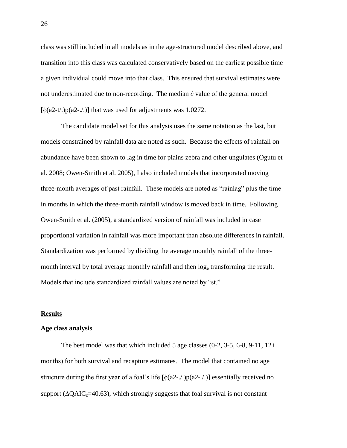class was still included in all models as in the age-structured model described above, and transition into this class was calculated conservatively based on the earliest possible time a given individual could move into that class. This ensured that survival estimates were not underestimated due to non-recording. The median *ĉ* value of the general model  $\lceil \phi(a2-t) \cdot \phi(a2-t) \rceil$  that was used for adjustments was 1.0272.

The candidate model set for this analysis uses the same notation as the last, but models constrained by rainfall data are noted as such. Because the effects of rainfall on abundance have been shown to lag in time for plains zebra and other ungulates (Ogutu et al. 2008; Owen-Smith et al. 2005), I also included models that incorporated moving three-month averages of past rainfall. These models are noted as "rainlag" plus the time in months in which the three-month rainfall window is moved back in time. Following Owen-Smith et al. (2005), a standardized version of rainfall was included in case proportional variation in rainfall was more important than absolute differences in rainfall. Standardization was performed by dividing the average monthly rainfall of the threemonth interval by total average monthly rainfall and then  $log_e$  transforming the result. Models that include standardized rainfall values are noted by "st."

#### **Results**

#### **Age class analysis**

The best model was that which included 5 age classes  $(0-2, 3-5, 6-8, 9-11, 12+$ months) for both survival and recapture estimates. The model that contained no age structure during the first year of a foal's life  $[\phi(a2-..)]p(a2-..)]$  essentially received no support ( $\triangle OAIC_{c}=40.63$ ), which strongly suggests that foal survival is not constant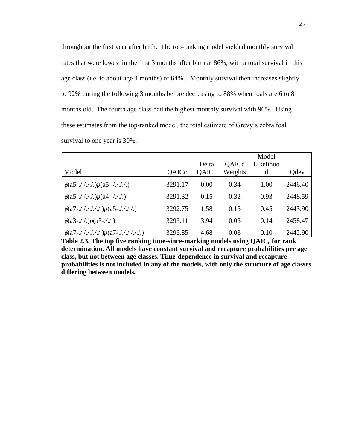throughout the first year after birth. The top-ranking model yielded monthly survival rates that were lowest in the first 3 months after birth at 86%, with a total survival in this age class (i.e. to about age 4 months) of 64%. Monthly survival then increases slightly to 92% during the following 3 months before decreasing to 88% when foals are 6 to 8 months old. The fourth age class had the highest monthly survival with 96%. Using these estimates from the top-ranked model, the total estimate of Grevy's zebra foal survival to one year is 30%.

|                                                 |         |       |              | Model     |         |
|-------------------------------------------------|---------|-------|--------------|-----------|---------|
|                                                 |         | Delta | <b>QAICc</b> | Likelihoo |         |
| Model                                           | QAICc   | QAICc | Weights      | d         | Odev    |
| $\phi$ (a5-./././.) $p$ (a5-././././.)          | 3291.17 | 0.00  | 0.34         | 1.00      | 2446.40 |
| $\phi$ (a5-./././.) $p$ (a4-./././.)            | 3291.32 | 0.15  | 0.32         | 0.93      | 2448.59 |
| $\phi$ (a7-./././././.) $p$ (a5-./././.)        | 3292.75 | 1.58  | 0.15         | 0.45      | 2443.90 |
| $\phi$ (a3-././.) $p$ (a3-././.)                | 3295.11 | 3.94  | 0.05         | 0.14      | 2458.47 |
| $\phi(a7$ -././././././.) $p(a7$ -././././././. | 3295.85 | 4.68  | 0.03         | 0.10      | 2442.90 |

**Table 2.3. The top five ranking time-since-marking models using QAIC<sup>c</sup> for rank determination. All models have constant survival and recapture probabilities per age class, but not between age classes. Time-dependence in survival and recapture probabilities is not included in any of the models, with only the structure of age classes differing between models.**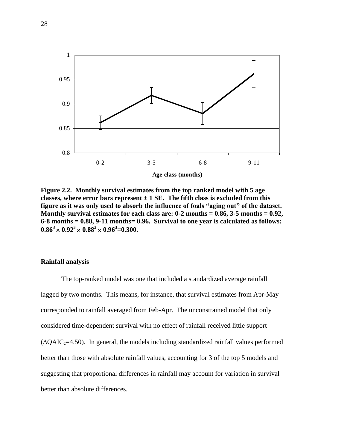

**Figure 2.2. Monthly survival estimates from the top ranked model with 5 age**  classes, where error bars represent  $\pm 1$  SE. The fifth class is excluded from this **figure as it was only used to absorb the influence of foals "aging out" of the dataset. Monthly survival estimates for each class are: 0-2 months = 0.86, 3-5 months = 0.92, 6-8 months = 0.88, 9-11 months= 0.96. Survival to one year is calculated as follows:**   $0.86^3 \times 0.92^3 \times 0.88^3 \times 0.96^3 = 0.300.$ 

# **Rainfall analysis**

The top-ranked model was one that included a standardized average rainfall lagged by two months. This means, for instance, that survival estimates from Apr-May corresponded to rainfall averaged from Feb-Apr. The unconstrained model that only considered time-dependent survival with no effect of rainfall received little support  $(\Delta QAIC_c=4.50)$ . In general, the models including standardized rainfall values performed better than those with absolute rainfall values, accounting for 3 of the top 5 models and suggesting that proportional differences in rainfall may account for variation in survival better than absolute differences.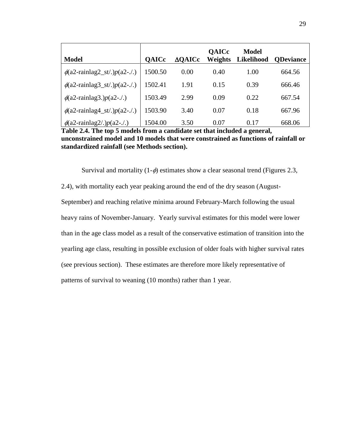| <b>Model</b>                           | <b>OAICc</b> | $\triangle$ OAICc | <b>QAICc</b><br><b>Weights</b> | <b>Model</b><br>Likelihood | <b>ODeviance</b> |
|----------------------------------------|--------------|-------------------|--------------------------------|----------------------------|------------------|
| $\phi$ (a2-rainlag2_st/.) $p$ (a2-./.) | 1500.50      | 0.00              | 0.40                           | 1.00                       | 664.56           |
| $\phi$ (a2-rainlag3_st/.) $p$ (a2-./.) | 1502.41      | 1.91              | 0.15                           | 0.39                       | 666.46           |
| $\phi$ (a2-rainlag3.) $p$ (a2-./.)     | 1503.49      | 2.99              | 0.09                           | 0.22                       | 667.54           |
| $\phi$ (a2-rainlag4_st/.) $p$ (a2-./.) | 1503.90      | 3.40              | 0.07                           | 0.18                       | 667.96           |
| $\phi$ (a2-rainlag2/.) $p$ (a2-./.)    | 1504.00      | 3.50              | 0.07                           | 0.17                       | 668.06           |

**Table 2.4. The top 5 models from a candidate set that included a general, unconstrained model and 10 models that were constrained as functions of rainfall or standardized rainfall (see Methods section).**

Survival and mortality  $(1-\phi)$  estimates show a clear seasonal trend (Figures 2.3,

2.4), with mortality each year peaking around the end of the dry season (August-September) and reaching relative minima around February-March following the usual heavy rains of November-January. Yearly survival estimates for this model were lower than in the age class model as a result of the conservative estimation of transition into the yearling age class, resulting in possible exclusion of older foals with higher survival rates (see previous section). These estimates are therefore more likely representative of patterns of survival to weaning (10 months) rather than 1 year.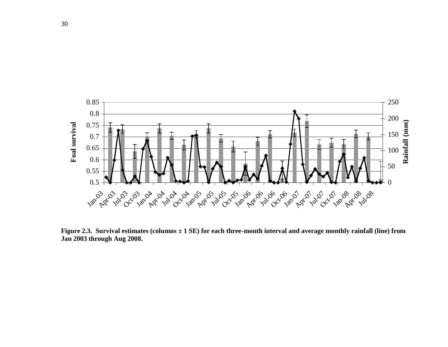

**Figure 2.3. Survival estimates (columns ± 1 SE) for each three-month interval and average monthly rainfall (line) from Jan 2003 through Aug 2008.**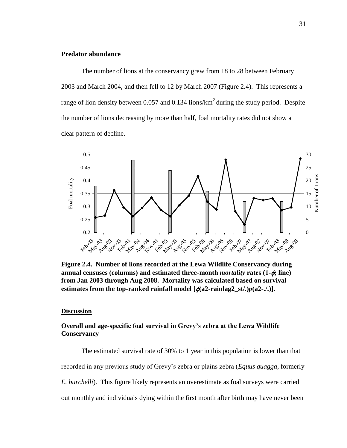# **Predator abundance**

The number of lions at the conservancy grew from 18 to 28 between February 2003 and March 2004, and then fell to 12 by March 2007 (Figure 2.4). This represents a range of lion density between 0.057 and 0.134 lions/ $km<sup>2</sup>$  during the study period. Despite the number of lions decreasing by more than half, foal mortality rates did not show a clear pattern of decline.



**Figure 2.4. Number of lions recorded at the Lewa Wildlife Conservancy during annual censuses (columns) and estimated three-month** *mortality* **rates (1-; line) from Jan 2003 through Aug 2008. Mortality was calculated based on survival estimates from the top-ranked rainfall model**  $\left[\phi(a2\text{-rainlag2_st/})p(a2\text{-}J)\right]$ **.** 

# **Discussion**

# **Overall and age-specific foal survival in Grevy"s zebra at the Lewa Wildlife Conservancy**

The estimated survival rate of 30% to 1 year in this population is lower than that recorded in any previous study of Grevy's zebra or plains zebra (*Equus quagga*, formerly *E. burchelli*). This figure likely represents an overestimate as foal surveys were carried out monthly and individuals dying within the first month after birth may have never been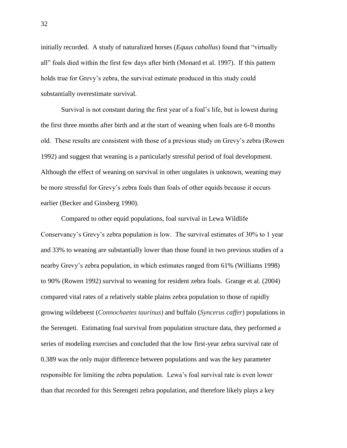initially recorded. A study of naturalized horses (*Equus caballus*) found that "virtually all" foals died within the first few days after birth (Monard et al. 1997). If this pattern holds true for Grevy's zebra, the survival estimate produced in this study could substantially overestimate survival.

Survival is not constant during the first year of a foal's life, but is lowest during the first three months after birth and at the start of weaning when foals are 6-8 months old. These results are consistent with those of a previous study on Grevy's zebra (Rowen 1992) and suggest that weaning is a particularly stressful period of foal development. Although the effect of weaning on survival in other ungulates is unknown, weaning may be more stressful for Grevy's zebra foals than foals of other equids because it occurs earlier (Becker and Ginsberg 1990).

Compared to other equid populations, foal survival in Lewa Wildlife Conservancy's Grevy's zebra population is low. The survival estimates of 30% to 1 year and 33% to weaning are substantially lower than those found in two previous studies of a nearby Grevy's zebra population, in which estimates ranged from 61% (Williams 1998) to 90% (Rowen 1992) survival to weaning for resident zebra foals. Grange et al. (2004) compared vital rates of a relatively stable plains zebra population to those of rapidly growing wildebeest (*Connochaetes taurinus*) and buffalo (*Syncerus caffer*) populations in the Serengeti. Estimating foal survival from population structure data, they performed a series of modeling exercises and concluded that the low first-year zebra survival rate of 0.389 was the only major difference between populations and was the key parameter responsible for limiting the zebra population. Lewa's foal survival rate is even lower than that recorded for this Serengeti zebra population, and therefore likely plays a key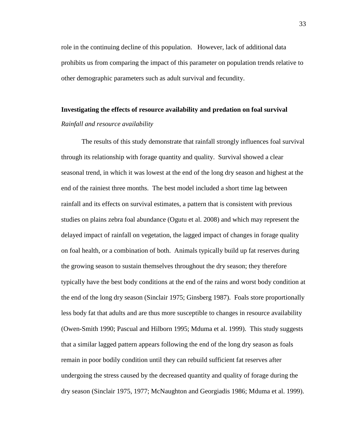role in the continuing decline of this population. However, lack of additional data prohibits us from comparing the impact of this parameter on population trends relative to other demographic parameters such as adult survival and fecundity.

# **Investigating the effects of resource availability and predation on foal survival** *Rainfall and resource availability*

The results of this study demonstrate that rainfall strongly influences foal survival through its relationship with forage quantity and quality. Survival showed a clear seasonal trend, in which it was lowest at the end of the long dry season and highest at the end of the rainiest three months. The best model included a short time lag between rainfall and its effects on survival estimates, a pattern that is consistent with previous studies on plains zebra foal abundance (Ogutu et al. 2008) and which may represent the delayed impact of rainfall on vegetation, the lagged impact of changes in forage quality on foal health, or a combination of both. Animals typically build up fat reserves during the growing season to sustain themselves throughout the dry season; they therefore typically have the best body conditions at the end of the rains and worst body condition at the end of the long dry season (Sinclair 1975; Ginsberg 1987). Foals store proportionally less body fat that adults and are thus more susceptible to changes in resource availability (Owen-Smith 1990; Pascual and Hilborn 1995; Mduma et al. 1999).This study suggests that a similar lagged pattern appears following the end of the long dry season as foals remain in poor bodily condition until they can rebuild sufficient fat reserves after undergoing the stress caused by the decreased quantity and quality of forage during the dry season (Sinclair 1975, 1977; McNaughton and Georgiadis 1986; Mduma et al. 1999).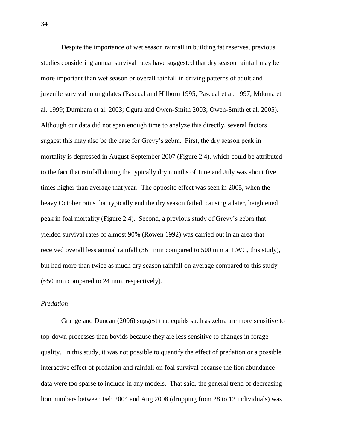Despite the importance of wet season rainfall in building fat reserves, previous studies considering annual survival rates have suggested that dry season rainfall may be more important than wet season or overall rainfall in driving patterns of adult and juvenile survival in ungulates (Pascual and Hilborn 1995; Pascual et al. 1997; Mduma et al. 1999; Durnham et al. 2003; Ogutu and Owen-Smith 2003; Owen-Smith et al. 2005). Although our data did not span enough time to analyze this directly, several factors suggest this may also be the case for Grevy's zebra. First, the dry season peak in mortality is depressed in August-September 2007 (Figure 2.4), which could be attributed to the fact that rainfall during the typically dry months of June and July was about five times higher than average that year. The opposite effect was seen in 2005, when the heavy October rains that typically end the dry season failed, causing a later, heightened peak in foal mortality (Figure 2.4). Second, a previous study of Grevy's zebra that yielded survival rates of almost 90% (Rowen 1992) was carried out in an area that received overall less annual rainfall (361 mm compared to 500 mm at LWC, this study), but had more than twice as much dry season rainfall on average compared to this study (~50 mm compared to 24 mm, respectively).

# *Predation*

Grange and Duncan (2006) suggest that equids such as zebra are more sensitive to top-down processes than bovids because they are less sensitive to changes in forage quality. In this study, it was not possible to quantify the effect of predation or a possible interactive effect of predation and rainfall on foal survival because the lion abundance data were too sparse to include in any models. That said, the general trend of decreasing lion numbers between Feb 2004 and Aug 2008 (dropping from 28 to 12 individuals) was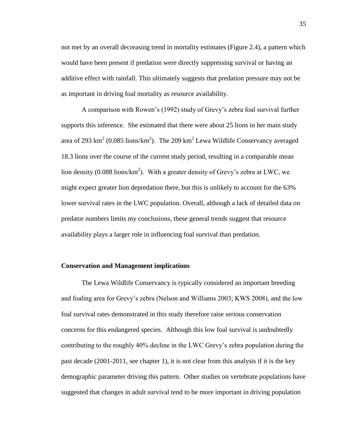not met by an overall decreasing trend in mortality estimates (Figure 2.4), a pattern which would have been present if predation were directly suppressing survival or having an additive effect with rainfall. This ultimately suggests that predation pressure may not be as important in driving foal mortality as resource availability.

A comparison with Rowen's (1992) study of Grevy's zebra foal survival further supports this inference. She estimated that there were about 25 lions in her main study area of 293 km<sup>2</sup> (0.085 lions/km<sup>2</sup>). The 209 km<sup>2</sup> Lewa Wildlife Conservancy averaged 18.3 lions over the course of the current study period, resulting in a comparable mean lion density (0.088 lions/ $km^2$ ). With a greater density of Grevy's zebra at LWC, we might expect greater lion depredation there, but this is unlikely to account for the 63% lower survival rates in the LWC population. Overall, although a lack of detailed data on predator numbers limits my conclusions, these general trends suggest that resource availability plays a larger role in influencing foal survival than predation.

# **Conservation and Management implications**

The Lewa Wildlife Conservancy is typically considered an important breeding and foaling area for Grevy's zebra (Nelson and Williams 2003; KWS 2008), and the low foal survival rates demonstrated in this study therefore raise serious conservation concerns for this endangered species. Although this low foal survival is undoubtedly contributing to the roughly 40% decline in the LWC Grevy's zebra population during the past decade (2001-2011, see chapter 1), it is not clear from this analysis if it is the key demographic parameter driving this pattern. Other studies on vertebrate populations have suggested that changes in adult survival tend to be more important in driving population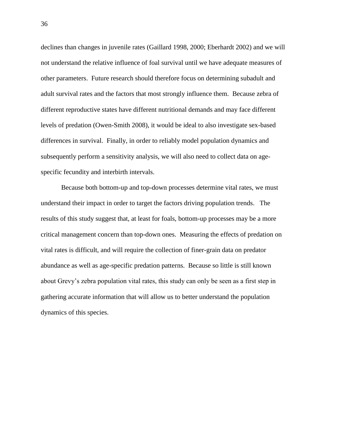declines than changes in juvenile rates (Gaillard 1998, 2000; Eberhardt 2002) and we will not understand the relative influence of foal survival until we have adequate measures of other parameters. Future research should therefore focus on determining subadult and adult survival rates and the factors that most strongly influence them. Because zebra of different reproductive states have different nutritional demands and may face different levels of predation (Owen-Smith 2008), it would be ideal to also investigate sex-based differences in survival. Finally, in order to reliably model population dynamics and subsequently perform a sensitivity analysis, we will also need to collect data on agespecific fecundity and interbirth intervals.

Because both bottom-up and top-down processes determine vital rates, we must understand their impact in order to target the factors driving population trends. The results of this study suggest that, at least for foals, bottom-up processes may be a more critical management concern than top-down ones. Measuring the effects of predation on vital rates is difficult, and will require the collection of finer-grain data on predator abundance as well as age-specific predation patterns. Because so little is still known about Grevy's zebra population vital rates, this study can only be seen as a first step in gathering accurate information that will allow us to better understand the population dynamics of this species.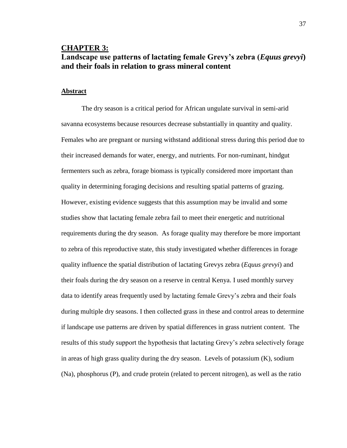# **CHAPTER 3: Landscape use patterns of lactating female Grevy"s zebra (***Equus grevyi***) and their foals in relation to grass mineral content**

# **Abstract**

The dry season is a critical period for African ungulate survival in semi-arid savanna ecosystems because resources decrease substantially in quantity and quality. Females who are pregnant or nursing withstand additional stress during this period due to their increased demands for water, energy, and nutrients. For non-ruminant, hindgut fermenters such as zebra, forage biomass is typically considered more important than quality in determining foraging decisions and resulting spatial patterns of grazing. However, existing evidence suggests that this assumption may be invalid and some studies show that lactating female zebra fail to meet their energetic and nutritional requirements during the dry season. As forage quality may therefore be more important to zebra of this reproductive state, this study investigated whether differences in forage quality influence the spatial distribution of lactating Grevys zebra (*Equus grevyi*) and their foals during the dry season on a reserve in central Kenya. I used monthly survey data to identify areas frequently used by lactating female Grevy's zebra and their foals during multiple dry seasons. I then collected grass in these and control areas to determine if landscape use patterns are driven by spatial differences in grass nutrient content. The results of this study support the hypothesis that lactating Grevy's zebra selectively forage in areas of high grass quality during the dry season. Levels of potassium (K), sodium (Na), phosphorus (P), and crude protein (related to percent nitrogen), as well as the ratio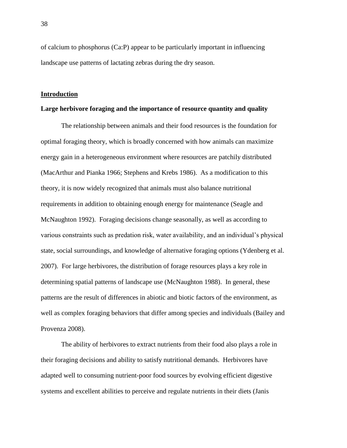of calcium to phosphorus (Ca:P) appear to be particularly important in influencing landscape use patterns of lactating zebras during the dry season.

# **Introduction**

# **Large herbivore foraging and the importance of resource quantity and quality**

The relationship between animals and their food resources is the foundation for optimal foraging theory, which is broadly concerned with how animals can maximize energy gain in a heterogeneous environment where resources are patchily distributed (MacArthur and Pianka 1966; Stephens and Krebs 1986). As a modification to this theory, it is now widely recognized that animals must also balance nutritional requirements in addition to obtaining enough energy for maintenance (Seagle and McNaughton 1992). Foraging decisions change seasonally, as well as according to various constraints such as predation risk, water availability, and an individual's physical state, social surroundings, and knowledge of alternative foraging options (Ydenberg et al. 2007). For large herbivores, the distribution of forage resources plays a key role in determining spatial patterns of landscape use (McNaughton 1988). In general, these patterns are the result of differences in abiotic and biotic factors of the environment, as well as complex foraging behaviors that differ among species and individuals (Bailey and Provenza 2008).

The ability of herbivores to extract nutrients from their food also plays a role in their foraging decisions and ability to satisfy nutritional demands. Herbivores have adapted well to consuming nutrient-poor food sources by evolving efficient digestive systems and excellent abilities to perceive and regulate nutrients in their diets (Janis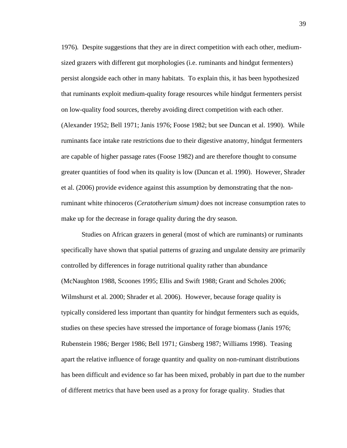1976)*.* Despite suggestions that they are in direct competition with each other, mediumsized grazers with different gut morphologies (i.e. ruminants and hindgut fermenters) persist alongside each other in many habitats. To explain this, it has been hypothesized that ruminants exploit medium-quality forage resources while hindgut fermenters persist on low-quality food sources, thereby avoiding direct competition with each other. (Alexander 1952; Bell 1971; Janis 1976; Foose 1982; but see Duncan et al. 1990). While ruminants face intake rate restrictions due to their digestive anatomy, hindgut fermenters are capable of higher passage rates (Foose 1982) and are therefore thought to consume greater quantities of food when its quality is low (Duncan et al. 1990). However, Shrader et al. (2006) provide evidence against this assumption by demonstrating that the nonruminant white rhinoceros (*Ceratotherium simum)* does not increase consumption rates to make up for the decrease in forage quality during the dry season.

Studies on African grazers in general (most of which are ruminants) or ruminants specifically have shown that spatial patterns of grazing and ungulate density are primarily controlled by differences in forage nutritional quality rather than abundance (McNaughton 1988, Scoones 1995; Ellis and Swift 1988; Grant and Scholes 2006; Wilmshurst et al. 2000; Shrader et al. 2006). However, because forage quality is typically considered less important than quantity for hindgut fermenters such as equids, studies on these species have stressed the importance of forage biomass (Janis 1976; Rubenstein 1986*;* Berger 1986; Bell 1971*;* Ginsberg 1987; Williams 1998). Teasing apart the relative influence of forage quantity and quality on non-ruminant distributions has been difficult and evidence so far has been mixed, probably in part due to the number of different metrics that have been used as a proxy for forage quality. Studies that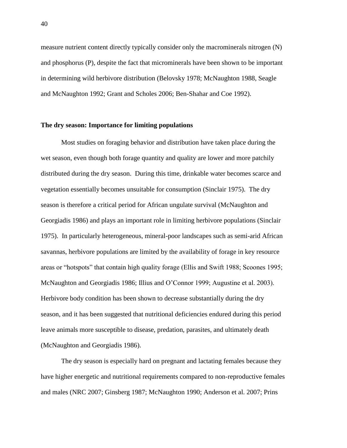measure nutrient content directly typically consider only the macrominerals nitrogen (N) and phosphorus (P), despite the fact that microminerals have been shown to be important in determining wild herbivore distribution (Belovsky 1978; McNaughton 1988, Seagle and McNaughton 1992; Grant and Scholes 2006; Ben-Shahar and Coe 1992).

# **The dry season: Importance for limiting populations**

Most studies on foraging behavior and distribution have taken place during the wet season, even though both forage quantity and quality are lower and more patchily distributed during the dry season. During this time, drinkable water becomes scarce and vegetation essentially becomes unsuitable for consumption (Sinclair 1975). The dry season is therefore a critical period for African ungulate survival (McNaughton and Georgiadis 1986) and plays an important role in limiting herbivore populations (Sinclair 1975). In particularly heterogeneous, mineral-poor landscapes such as semi-arid African savannas, herbivore populations are limited by the availability of forage in key resource areas or "hotspots" that contain high quality forage (Ellis and Swift 1988; Scoones 1995; McNaughton and Georgiadis 1986; Illius and O'Connor 1999; Augustine et al. 2003). Herbivore body condition has been shown to decrease substantially during the dry season, and it has been suggested that nutritional deficiencies endured during this period leave animals more susceptible to disease, predation, parasites, and ultimately death (McNaughton and Georgiadis 1986).

The dry season is especially hard on pregnant and lactating females because they have higher energetic and nutritional requirements compared to non-reproductive females and males (NRC 2007; Ginsberg 1987; McNaughton 1990; Anderson et al. 2007; Prins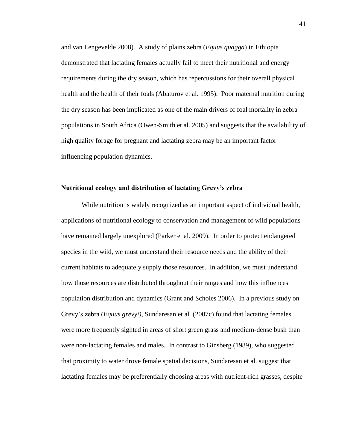and van Lengevelde 2008). A study of plains zebra (*Equus quagga*) in Ethiopia demonstrated that lactating females actually fail to meet their nutritional and energy requirements during the dry season, which has repercussions for their overall physical health and the health of their foals (Abaturov et al. 1995). Poor maternal nutrition during the dry season has been implicated as one of the main drivers of foal mortality in zebra populations in South Africa (Owen-Smith et al. 2005) and suggests that the availability of high quality forage for pregnant and lactating zebra may be an important factor influencing population dynamics.

# **Nutritional ecology and distribution of lactating Grevy"s zebra**

While nutrition is widely recognized as an important aspect of individual health, applications of nutritional ecology to conservation and management of wild populations have remained largely unexplored (Parker et al. 2009). In order to protect endangered species in the wild, we must understand their resource needs and the ability of their current habitats to adequately supply those resources. In addition, we must understand how those resources are distributed throughout their ranges and how this influences population distribution and dynamics (Grant and Scholes 2006). In a previous study on Grevy's zebra (*Equus grevyi)*, Sundaresan et al. (2007c) found that lactating females were more frequently sighted in areas of short green grass and medium-dense bush than were non-lactating females and males. In contrast to Ginsberg (1989), who suggested that proximity to water drove female spatial decisions, Sundaresan et al. suggest that lactating females may be preferentially choosing areas with nutrient-rich grasses, despite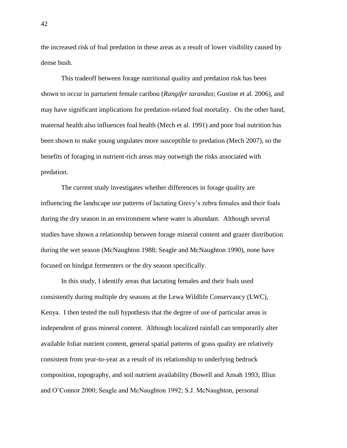the increased risk of foal predation in these areas as a result of lower visibility caused by dense bush.

This tradeoff between forage nutritional quality and predation risk has been shown to occur in parturient female caribou (*Rangifer tarandus*; Gustine et al. 2006), and may have significant implications for predation-related foal mortality. On the other hand, maternal health also influences foal health (Mech et al. 1991) and poor foal nutrition has been shown to make young ungulates more susceptible to predation (Mech 2007), so the benefits of foraging in nutrient-rich areas may outweigh the risks associated with predation.

The current study investigates whether differences in forage quality are influencing the landscape use patterns of lactating Grevy's zebra females and their foals during the dry season in an environment where water is abundant. Although several studies have shown a relationship between forage mineral content and grazer distribution during the wet season (McNaughton 1988; Seagle and McNaughton 1990), none have focused on hindgut fermenters or the dry season specifically.

In this study, I identify areas that lactating females and their foals used consistently during multiple dry seasons at the Lewa Wildlife Conservancy (LWC), Kenya. I then tested the null hypothesis that the degree of use of particular areas is independent of grass mineral content. Although localized rainfall can temporarily alter available foliar nutrient content, general spatial patterns of grass quality are relatively consistent from year-to-year as a result of its relationship to underlying bedrock composition, topography, and soil nutrient availability (Bowell and Ansah 1993; Illius and O'Connor 2000; Seagle and McNaughton 1992; S.J. McNaughton, personal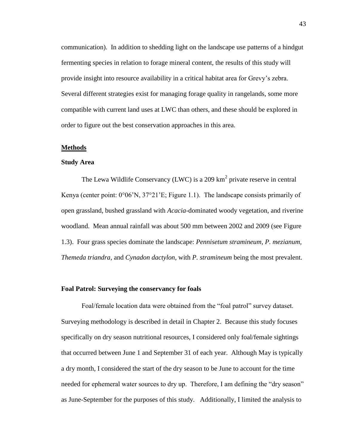communication). In addition to shedding light on the landscape use patterns of a hindgut fermenting species in relation to forage mineral content, the results of this study will provide insight into resource availability in a critical habitat area for Grevy's zebra. Several different strategies exist for managing forage quality in rangelands, some more compatible with current land uses at LWC than others, and these should be explored in order to figure out the best conservation approaches in this area.

#### **Methods**

#### **Study Area**

The Lewa Wildlife Conservancy (LWC) is a 209  $km^2$  private reserve in central Kenya (center point: 0°06'N, 37°21'E; Figure 1.1). The landscape consists primarily of open grassland, bushed grassland with *Acacia*-dominated woody vegetation, and riverine woodland. Mean annual rainfall was about 500 mm between 2002 and 2009 (see Figure 1.3). Four grass species dominate the landscape: *Pennisetum stramineum*, *P. mezianum, Themeda triandra*, and *Cynadon dactylon,* with *P. stramineum* being the most prevalent.

## **Foal Patrol: Surveying the conservancy for foals**

Foal/female location data were obtained from the "foal patrol" survey dataset. Surveying methodology is described in detail in Chapter 2. Because this study focuses specifically on dry season nutritional resources, I considered only foal/female sightings that occurred between June 1 and September 31 of each year. Although May is typically a dry month, I considered the start of the dry season to be June to account for the time needed for ephemeral water sources to dry up. Therefore, I am defining the "dry season" as June-September for the purposes of this study. Additionally, I limited the analysis to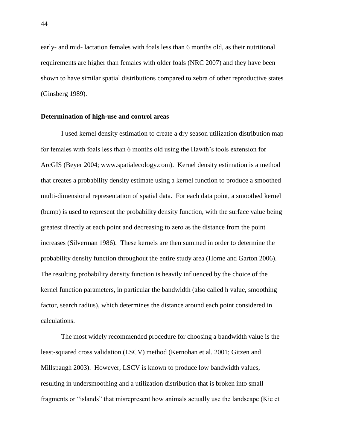early- and mid- lactation females with foals less than 6 months old, as their nutritional requirements are higher than females with older foals (NRC 2007) and they have been shown to have similar spatial distributions compared to zebra of other reproductive states (Ginsberg 1989).

# **Determination of high-use and control areas**

I used kernel density estimation to create a dry season utilization distribution map for females with foals less than 6 months old using the Hawth's tools extension for ArcGIS (Beyer 2004; www.spatialecology.com). Kernel density estimation is a method that creates a probability density estimate using a kernel function to produce a smoothed multi-dimensional representation of spatial data. For each data point, a smoothed kernel (bump) is used to represent the probability density function, with the surface value being greatest directly at each point and decreasing to zero as the distance from the point increases (Silverman 1986). These kernels are then summed in order to determine the probability density function throughout the entire study area (Horne and Garton 2006). The resulting probability density function is heavily influenced by the choice of the kernel function parameters, in particular the bandwidth (also called h value, smoothing factor, search radius), which determines the distance around each point considered in calculations.

The most widely recommended procedure for choosing a bandwidth value is the least-squared cross validation (LSCV) method (Kernohan et al. 2001; Gitzen and Millspaugh 2003). However, LSCV is known to produce low bandwidth values, resulting in undersmoothing and a utilization distribution that is broken into small fragments or "islands" that misrepresent how animals actually use the landscape (Kie et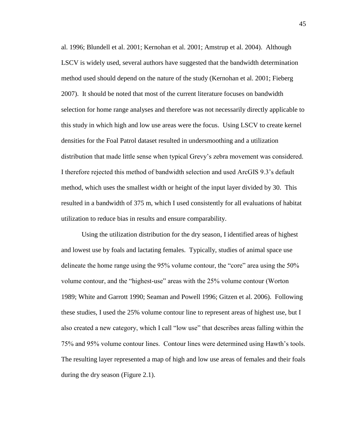al. 1996; Blundell et al. 2001; Kernohan et al. 2001; Amstrup et al. 2004). Although LSCV is widely used, several authors have suggested that the bandwidth determination method used should depend on the nature of the study (Kernohan et al. 2001; Fieberg 2007). It should be noted that most of the current literature focuses on bandwidth selection for home range analyses and therefore was not necessarily directly applicable to this study in which high and low use areas were the focus. Using LSCV to create kernel densities for the Foal Patrol dataset resulted in undersmoothing and a utilization distribution that made little sense when typical Grevy's zebra movement was considered. I therefore rejected this method of bandwidth selection and used ArcGIS 9.3's default method, which uses the smallest width or height of the input layer divided by 30. This resulted in a bandwidth of 375 m, which I used consistently for all evaluations of habitat utilization to reduce bias in results and ensure comparability.

Using the utilization distribution for the dry season, I identified areas of highest and lowest use by foals and lactating females. Typically, studies of animal space use delineate the home range using the 95% volume contour, the "core" area using the 50% volume contour, and the "highest-use" areas with the 25% volume contour (Worton 1989; White and Garrott 1990; Seaman and Powell 1996; Gitzen et al. 2006). Following these studies, I used the 25% volume contour line to represent areas of highest use, but I also created a new category, which I call "low use" that describes areas falling within the 75% and 95% volume contour lines. Contour lines were determined using Hawth's tools. The resulting layer represented a map of high and low use areas of females and their foals during the dry season (Figure 2.1).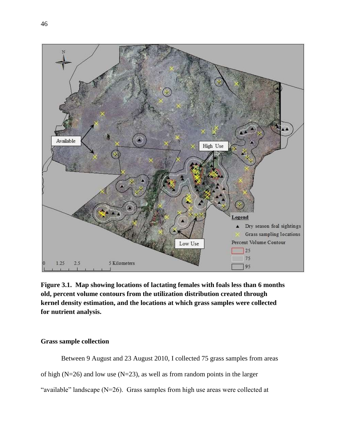

**Figure 3.1. Map showing locations of lactating females with foals less than 6 months old, percent volume contours from the utilization distribution created through kernel density estimation, and the locations at which grass samples were collected for nutrient analysis.** 

# **Grass sample collection**

Between 9 August and 23 August 2010, I collected 75 grass samples from areas of high ( $N=26$ ) and low use ( $N=23$ ), as well as from random points in the larger

"available" landscape (N=26). Grass samples from high use areas were collected at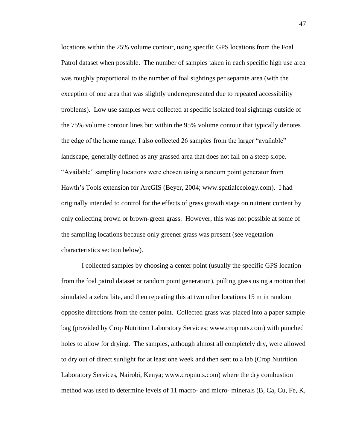locations within the 25% volume contour, using specific GPS locations from the Foal Patrol dataset when possible. The number of samples taken in each specific high use area was roughly proportional to the number of foal sightings per separate area (with the exception of one area that was slightly underrepresented due to repeated accessibility problems). Low use samples were collected at specific isolated foal sightings outside of the 75% volume contour lines but within the 95% volume contour that typically denotes the edge of the home range. I also collected 26 samples from the larger "available" landscape, generally defined as any grassed area that does not fall on a steep slope. "Available" sampling locations were chosen using a random point generator from Hawth's Tools extension for ArcGIS (Beyer, 2004; www.spatialecology.com). I had originally intended to control for the effects of grass growth stage on nutrient content by only collecting brown or brown-green grass. However, this was not possible at some of the sampling locations because only greener grass was present (see vegetation characteristics section below).

I collected samples by choosing a center point (usually the specific GPS location from the foal patrol dataset or random point generation), pulling grass using a motion that simulated a zebra bite, and then repeating this at two other locations 15 m in random opposite directions from the center point. Collected grass was placed into a paper sample bag (provided by Crop Nutrition Laboratory Services; www.cropnuts.com) with punched holes to allow for drying. The samples, although almost all completely dry, were allowed to dry out of direct sunlight for at least one week and then sent to a lab (Crop Nutrition Laboratory Services, Nairobi, Kenya; www.cropnuts.com) where the dry combustion method was used to determine levels of 11 macro- and micro- minerals (B, Ca, Cu, Fe, K,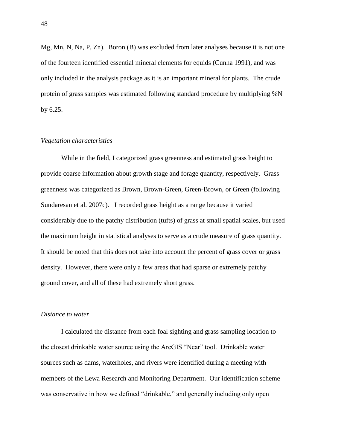Mg, Mn, N, Na, P, Zn). Boron (B) was excluded from later analyses because it is not one of the fourteen identified essential mineral elements for equids (Cunha 1991), and was only included in the analysis package as it is an important mineral for plants. The crude protein of grass samples was estimated following standard procedure by multiplying %N by 6.25.

# *Vegetation characteristics*

While in the field, I categorized grass greenness and estimated grass height to provide coarse information about growth stage and forage quantity, respectively. Grass greenness was categorized as Brown, Brown-Green, Green-Brown, or Green (following Sundaresan et al. 2007c). I recorded grass height as a range because it varied considerably due to the patchy distribution (tufts) of grass at small spatial scales, but used the maximum height in statistical analyses to serve as a crude measure of grass quantity. It should be noted that this does not take into account the percent of grass cover or grass density. However, there were only a few areas that had sparse or extremely patchy ground cover, and all of these had extremely short grass.

# *Distance to water*

I calculated the distance from each foal sighting and grass sampling location to the closest drinkable water source using the ArcGIS "Near" tool. Drinkable water sources such as dams, waterholes, and rivers were identified during a meeting with members of the Lewa Research and Monitoring Department. Our identification scheme was conservative in how we defined "drinkable," and generally including only open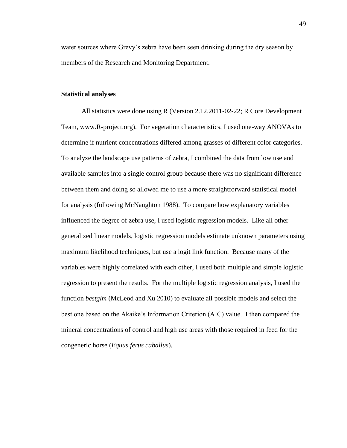water sources where Grevy's zebra have been seen drinking during the dry season by members of the Research and Monitoring Department.

#### **Statistical analyses**

All statistics were done using R (Version 2.12.2011-02-22; R Core Development Team, www.R-project.org). For vegetation characteristics, I used one-way ANOVAs to determine if nutrient concentrations differed among grasses of different color categories. To analyze the landscape use patterns of zebra, I combined the data from low use and available samples into a single control group because there was no significant difference between them and doing so allowed me to use a more straightforward statistical model for analysis (following McNaughton 1988). To compare how explanatory variables influenced the degree of zebra use, I used logistic regression models. Like all other generalized linear models, logistic regression models estimate unknown parameters using maximum likelihood techniques, but use a logit link function. Because many of the variables were highly correlated with each other, I used both multiple and simple logistic regression to present the results. For the multiple logistic regression analysis, I used the function *bestglm* (McLeod and Xu 2010) to evaluate all possible models and select the best one based on the Akaike's Information Criterion (AIC) value. I then compared the mineral concentrations of control and high use areas with those required in feed for the congeneric horse (*Equus ferus caballus*).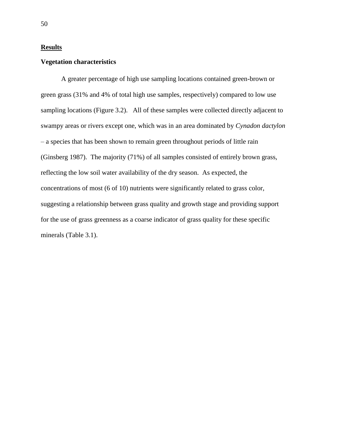# **Results**

# **Vegetation characteristics**

A greater percentage of high use sampling locations contained green-brown or green grass (31% and 4% of total high use samples, respectively) compared to low use sampling locations (Figure 3.2). All of these samples were collected directly adjacent to swampy areas or rivers except one, which was in an area dominated by *Cynadon dactylon* – a species that has been shown to remain green throughout periods of little rain (Ginsberg 1987). The majority (71%) of all samples consisted of entirely brown grass, reflecting the low soil water availability of the dry season. As expected, the concentrations of most (6 of 10) nutrients were significantly related to grass color, suggesting a relationship between grass quality and growth stage and providing support for the use of grass greenness as a coarse indicator of grass quality for these specific minerals (Table 3.1).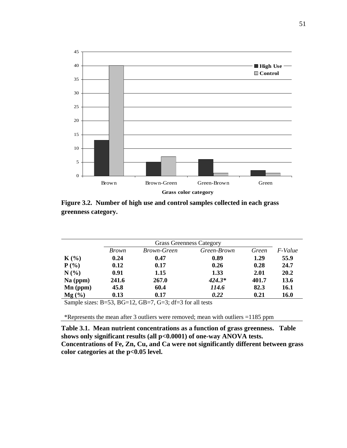

**Figure 3.2. Number of high use and control samples collected in each grass greenness category.** 

|            | <b>Grass Greenness Category</b> |                    |             |       |             |
|------------|---------------------------------|--------------------|-------------|-------|-------------|
|            | <i>Brown</i>                    | <i>Brown-Green</i> | Green-Brown | Green | F-Value     |
| $K(\%)$    | 0.24                            | 0.47               | 0.89        | 1.29  | 55.9        |
| $P(\%)$    | 0.12                            | 0.17               | 0.26        | 0.28  | 24.7        |
| N(%)       | 0.91                            | 1.15               | 1.33        | 2.01  | 20.2        |
| $Na$ (ppm) | 241.6                           | 267.0              | $424.3*$    | 401.7 | 13.6        |
| $Mn$ (ppm) | 45.8                            | 60.4               | 114.6       | 82.3  | <b>16.1</b> |
| $Mg(\%)$   | 0.13                            | 0.17               | 0.22        | 0.21  | <b>16.0</b> |

Sample sizes: B=53, BG=12, GB=7, G=3; df=3 for all tests

\*Represents the mean after 3 outliers were removed; mean with outliers =1185 ppm

**Table 3.1. Mean nutrient concentrations as a function of grass greenness. Table shows only significant results (all p<0.0001) of one-way ANOVA tests. Concentrations of Fe, Zn, Cu, and Ca were not significantly different between grass color categories at the p<0.05 level.**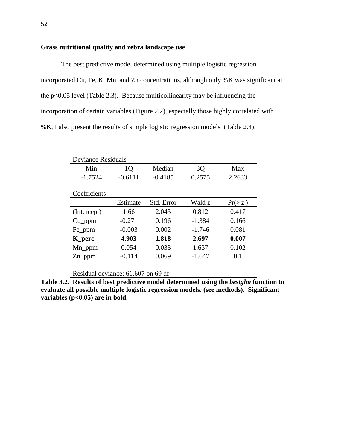# **Grass nutritional quality and zebra landscape use**

The best predictive model determined using multiple logistic regression incorporated Cu, Fe, K, Mn, and Zn concentrations, although only %K was significant at the p<0.05 level (Table 2.3). Because multicollinearity may be influencing the incorporation of certain variables (Figure 2.2), especially those highly correlated with %K, I also present the results of simple logistic regression models (Table 2.4).

| <b>Deviance Residuals</b>          |           |            |          |          |  |  |
|------------------------------------|-----------|------------|----------|----------|--|--|
| Min                                | 1Q        | Median     | 3Q       | Max      |  |  |
| $-1.7524$                          | $-0.6111$ | $-0.4185$  | 0.2575   | 2.2633   |  |  |
| Coefficients                       |           |            |          |          |  |  |
|                                    | Estimate  | Std. Error | Wald z   | Pr(> z ) |  |  |
| (Intercept)                        | 1.66      | 2.045      | 0.812    | 0.417    |  |  |
| $Cu\_ppm$                          | $-0.271$  | 0.196      | $-1.384$ | 0.166    |  |  |
| Fe_ppm                             | $-0.003$  | 0.002      | $-1.746$ | 0.081    |  |  |
| <b>K_perc</b>                      | 4.903     | 1.818      | 2.697    | 0.007    |  |  |
| $Mn$ _ppm                          | 0.054     | 0.033      | 1.637    | 0.102    |  |  |
| $Zn$ ppm                           | $-0.114$  | 0.069      | $-1.647$ | 0.1      |  |  |
|                                    |           |            |          |          |  |  |
| Residual deviance: 61.607 on 69 df |           |            |          |          |  |  |

**Table 3.2. Results of best predictive model determined using the** *bestglm* **function to evaluate all possible multiple logistic regression models. (see methods). Significant variables (p<0.05) are in bold.**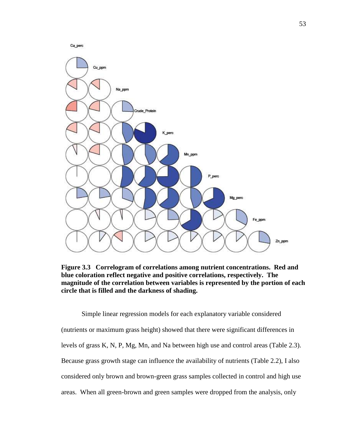



**Figure 3.3 Correlogram of correlations among nutrient concentrations. Red and blue coloration reflect negative and positive correlations, respectively. The magnitude of the correlation between variables is represented by the portion of each circle that is filled and the darkness of shading.**

Simple linear regression models for each explanatory variable considered (nutrients or maximum grass height) showed that there were significant differences in levels of grass K, N, P, Mg, Mn, and Na between high use and control areas (Table 2.3). Because grass growth stage can influence the availability of nutrients (Table 2.2), I also considered only brown and brown-green grass samples collected in control and high use areas. When all green-brown and green samples were dropped from the analysis, only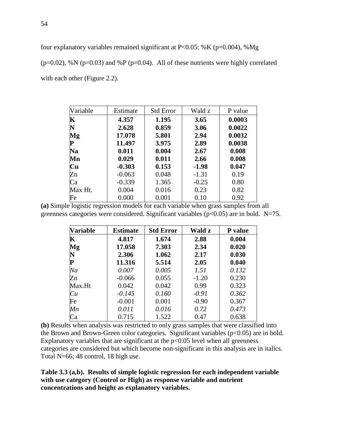four explanatory variables remained significant at  $P<0.05$ : %K (p=0.004), %Mg

( $p=0.02$ ), %N ( $p=0.03$ ) and %P ( $p=0.04$ ). All of these nutrients were highly correlated with each other (Figure 2.2).

| Variable | Estimate | <b>Std Error</b> | Wald z  | P value |
|----------|----------|------------------|---------|---------|
| K        | 4.357    | 1.195            | 3.65    | 0.0003  |
|          | 2.628    | 0.859            | 3.06    | 0.0022  |
| Mg       | 17.078   | 5.801            | 2.94    | 0.0032  |
| P        | 11.497   | 3.975            | 2.89    | 0.0038  |
| Na       | 0.011    | 0.004            | 2.67    | 0.008   |
| Mn       | 0.029    | 0.011            | 2.66    | 0.008   |
| Cu       | $-0.303$ | 0.153            | $-1.98$ | 0.047   |
| Zn       | $-0.063$ | 0.048            | $-1.31$ | 0.19    |
| Ca       | $-0.339$ | 1.365            | $-0.25$ | 0.80    |
| Max Ht.  | 0.004    | 0.016            | 0.23    | 0.82    |
| Fe       | 0.000    | 0.001            | 0.10    | 0.92    |

**(a)** Simple logistic regression models for each variable when grass samples from all greenness categories were considered. Significant variables ( $p<0.05$ ) are in bold. N=75.

| <b>Variable</b> | <b>Estimate</b> | <b>Std Error</b> | Wald z  | P value |
|-----------------|-----------------|------------------|---------|---------|
| $\mathbf K$     | 4.817           | 1.674            | 2.88    | 0.004   |
| Mg              | 17.058          | 7.303            | 2.34    | 0.020   |
| N               | 2.306           | 1.062            | 2.17    | 0.030   |
| P               | 11.316          | 5.514            | 2.05    | 0.040   |
| Na              | 0.007           | 0.005            | 1.51    | 0.132   |
| Zn              | $-0.066$        | 0.055            | $-1.20$ | 0.230   |
| Max.Ht          | 0.042           | 0.042            | 0.99    | 0.323   |
| Cu              | $-0.145$        | 0.160            | $-0.91$ | 0.362   |
| Fe              | $-0.001$        | 0.001            | $-0.90$ | 0.367   |
| Mn              | 0.011           | 0.016            | 0.72    | 0.473   |
| Ca              | 0.715           | 1.522            | 0.47    | 0.638   |

**(b)** Results when analysis was restricted to only grass samples that were classified into the Brown and Brown-Green color categories. Significant variables  $(p<0.05)$  are in bold. Explanatory variables that are significant at the  $p<0.05$  level when all greenness categories are considered but which become non-significant in this analysis are in italics. Total N=66; 48 control, 18 high use.

**Table 3.3 (a,b). Results of simple logistic regression for each independent variable with use category (Control or High) as response variable and nutrient concentrations and height as explanatory variables.**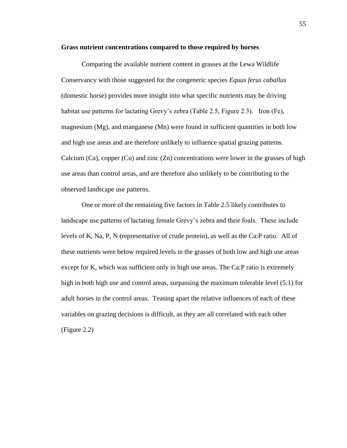#### **Grass nutrient concentrations compared to those required by horses**

Comparing the available nutrient content in grasses at the Lewa Wildlife Conservancy with those suggested for the congeneric species *Equus ferus caballus* (domestic horse) provides more insight into what specific nutrients may be driving habitat use patterns for lactating Grevy's zebra (Table 2.5, Figure 2.3). Iron (Fe), magnesium (Mg), and manganese (Mn) were found in sufficient quantities in both low and high use areas and are therefore unlikely to influence spatial grazing patterns. Calcium (Ca), copper (Cu) and zinc (Zn) concentrations were lower in the grasses of high use areas than control areas, and are therefore also unlikely to be contributing to the observed landscape use patterns.

One or more of the remaining five factors in Table 2.5 likely contributes to landscape use patterns of lactating female Grevy's zebra and their foals. These include levels of K, Na, P, N (representative of crude protein), as well as the Ca:P ratio. All of these nutrients were below required levels in the grasses of both low and high use areas except for K, which was sufficient only in high use areas. The Ca:P ratio is extremely high in both high use and control areas, surpassing the maximum tolerable level (5:1) for adult horses in the control areas. Teasing apart the relative influences of each of these variables on grazing decisions is difficult, as they are all correlated with each other (Figure 2.2)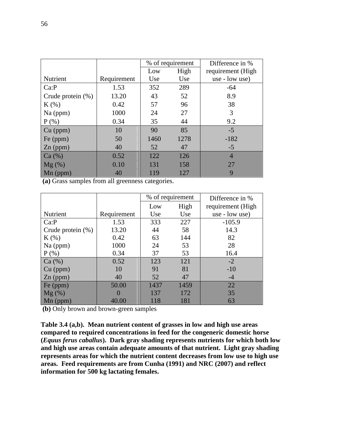|                      |             | % of requirement |      | Difference in %   |
|----------------------|-------------|------------------|------|-------------------|
|                      |             | Low              | High | requirement (High |
| Nutrient             | Requirement | Use              | Use  | use - low use)    |
| Ca:P                 | 1.53        | 352              | 289  | $-64$             |
| Crude protein $(\%)$ | 13.20       | 43               | 52   | 8.9               |
| $K(\%)$              | 0.42        | 57               | 96   | 38                |
| $Na$ (ppm)           | 1000        | 24               | 27   | 3                 |
| $P$ (%)              | 0.34        | 35               | 44   | 9.2               |
| $Cu$ (ppm)           | 10          | 90               | 85   | $-5$              |
| Fe (ppm)             | 50          | 1460             | 1278 | $-182$            |
| $Zn$ (ppm)           | 40          | 52               | 47   | $-5$              |
| Ca (%)               | 0.52        | 122              | 126  | $\overline{4}$    |
| $Mg(\%)$             | 0.10        | 131              | 158  | 27                |
| $Mn$ (ppm)           | 40          | 119              | 127  | 9                 |

**(a)** Grass samples from all greenness categories.

|                      |             | % of requirement |      | Difference in %    |
|----------------------|-------------|------------------|------|--------------------|
|                      |             | Low              | High | requirement (High) |
| Nutrient             | Requirement | Use              | Use  | use - low use)     |
| Ca:P                 | 1.53        | 333              | 227  | $-105.9$           |
| Crude protein $(\%)$ | 13.20       | 44               | 58   | 14.3               |
| $K(\%)$              | 0.42        | 63               | 144  | 82                 |
| $Na$ (ppm)           | 1000        | 24               | 53   | 28                 |
| $P$ (%)              | 0.34        | 37               | 53   | 16.4               |
| Ca (%)               | 0.52        | 123              | 121  | $-2$               |
| Cu (ppm)             | 10          | 91               | 81   | $-10$              |
| $Zn$ (ppm)           | 40          | 52               | 47   | $-4$               |
| Fe (ppm)             | 50.00       | 1437             | 1459 | 22                 |
| $Mg(\%)$             |             | 137              | 172  | 35                 |
| $Mn$ (ppm)           | 40.00       | 118              | 181  | 63                 |

**(b)** Only brown and brown-green samples

**Table 3.4 (a,b). Mean nutrient content of grasses in low and high use areas compared to required concentrations in feed for the congeneric domestic horse (***Equus ferus caballus***). Dark gray shading represents nutrients for which both low and high use areas contain adequate amounts of that nutrient. Light gray shading represents areas for which the nutrient content decreases from low use to high use areas. Feed requirements are from Cunha (1991) and NRC (2007) and reflect information for 500 kg lactating females.**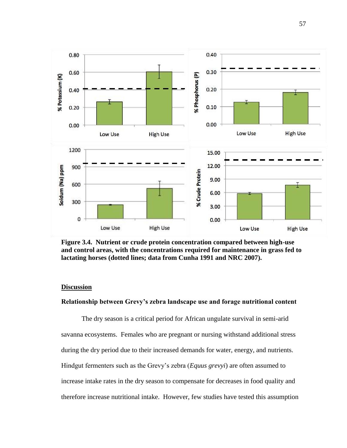

**Figure 3.4. Nutrient or crude protein concentration compared between high-use and control areas, with the concentrations required for maintenance in grass fed to lactating horses (dotted lines; data from Cunha 1991 and NRC 2007).**

# **Discussion**

# **Relationship between Grevy"s zebra landscape use and forage nutritional content**

The dry season is a critical period for African ungulate survival in semi-arid savanna ecosystems. Females who are pregnant or nursing withstand additional stress during the dry period due to their increased demands for water, energy, and nutrients. Hindgut fermenters such as the Grevy's zebra (*Equus grevyi*) are often assumed to increase intake rates in the dry season to compensate for decreases in food quality and therefore increase nutritional intake. However, few studies have tested this assumption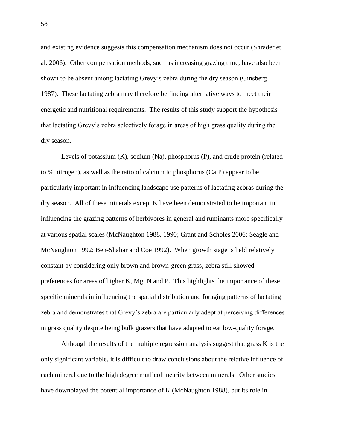and existing evidence suggests this compensation mechanism does not occur (Shrader et al. 2006). Other compensation methods, such as increasing grazing time, have also been shown to be absent among lactating Grevy's zebra during the dry season (Ginsberg 1987). These lactating zebra may therefore be finding alternative ways to meet their energetic and nutritional requirements. The results of this study support the hypothesis that lactating Grevy's zebra selectively forage in areas of high grass quality during the dry season.

Levels of potassium (K), sodium (Na), phosphorus (P), and crude protein (related to % nitrogen), as well as the ratio of calcium to phosphorus (Ca:P) appear to be particularly important in influencing landscape use patterns of lactating zebras during the dry season. All of these minerals except K have been demonstrated to be important in influencing the grazing patterns of herbivores in general and ruminants more specifically at various spatial scales (McNaughton 1988, 1990; Grant and Scholes 2006; Seagle and McNaughton 1992; Ben-Shahar and Coe 1992). When growth stage is held relatively constant by considering only brown and brown-green grass, zebra still showed preferences for areas of higher K, Mg, N and P. This highlights the importance of these specific minerals in influencing the spatial distribution and foraging patterns of lactating zebra and demonstrates that Grevy's zebra are particularly adept at perceiving differences in grass quality despite being bulk grazers that have adapted to eat low-quality forage.

Although the results of the multiple regression analysis suggest that grass K is the only significant variable, it is difficult to draw conclusions about the relative influence of each mineral due to the high degree mutlicollinearity between minerals. Other studies have downplayed the potential importance of K (McNaughton 1988), but its role in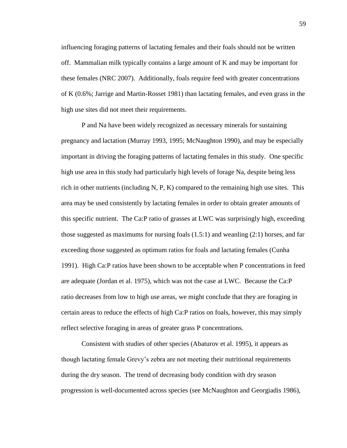influencing foraging patterns of lactating females and their foals should not be written off. Mammalian milk typically contains a large amount of K and may be important for these females (NRC 2007). Additionally, foals require feed with greater concentrations of K (0.6%; Jarrige and Martin-Rosset 1981) than lactating females, and even grass in the high use sites did not meet their requirements.

P and Na have been widely recognized as necessary minerals for sustaining pregnancy and lactation (Murray 1993, 1995; McNaughton 1990), and may be especially important in driving the foraging patterns of lactating females in this study*.* One specific high use area in this study had particularly high levels of forage Na, despite being less rich in other nutrients (including N, P, K) compared to the remaining high use sites. This area may be used consistently by lactating females in order to obtain greater amounts of this specific nutrient. The Ca:P ratio of grasses at LWC was surprisingly high, exceeding those suggested as maximums for nursing foals  $(1.5:1)$  and weanling  $(2:1)$  horses, and far exceeding those suggested as optimum ratios for foals and lactating females (Cunha 1991). High Ca:P ratios have been shown to be acceptable when P concentrations in feed are adequate (Jordan et al. 1975), which was not the case at LWC. Because the Ca:P ratio decreases from low to high use areas, we might conclude that they are foraging in certain areas to reduce the effects of high Ca:P ratios on foals, however, this may simply reflect selective foraging in areas of greater grass P concentrations.

Consistent with studies of other species (Abaturov et al. 1995), it appears as though lactating female Grevy's zebra are not meeting their nutritional requirements during the dry season. The trend of decreasing body condition with dry season progression is well-documented across species (see McNaughton and Georgiadis 1986),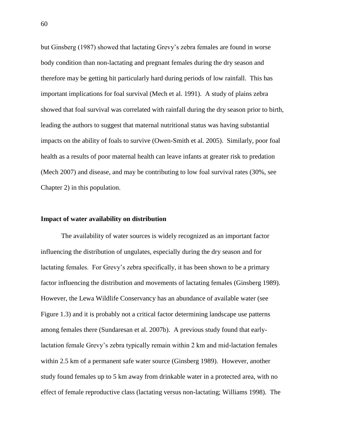but Ginsberg (1987) showed that lactating Grevy's zebra females are found in worse body condition than non-lactating and pregnant females during the dry season and therefore may be getting hit particularly hard during periods of low rainfall. This has important implications for foal survival (Mech et al. 1991). A study of plains zebra showed that foal survival was correlated with rainfall during the dry season prior to birth, leading the authors to suggest that maternal nutritional status was having substantial impacts on the ability of foals to survive (Owen-Smith et al. 2005). Similarly, poor foal health as a results of poor maternal health can leave infants at greater risk to predation (Mech 2007) and disease, and may be contributing to low foal survival rates (30%, see Chapter 2) in this population.

# **Impact of water availability on distribution**

The availability of water sources is widely recognized as an important factor influencing the distribution of ungulates, especially during the dry season and for lactating females. For Grevy's zebra specifically, it has been shown to be a primary factor influencing the distribution and movements of lactating females (Ginsberg 1989). However, the Lewa Wildlife Conservancy has an abundance of available water (see Figure 1.3) and it is probably not a critical factor determining landscape use patterns among females there (Sundaresan et al. 2007b). A previous study found that earlylactation female Grevy's zebra typically remain within 2 km and mid-lactation females within 2.5 km of a permanent safe water source (Ginsberg 1989). However, another study found females up to 5 km away from drinkable water in a protected area, with no effect of female reproductive class (lactating versus non-lactating; Williams 1998). The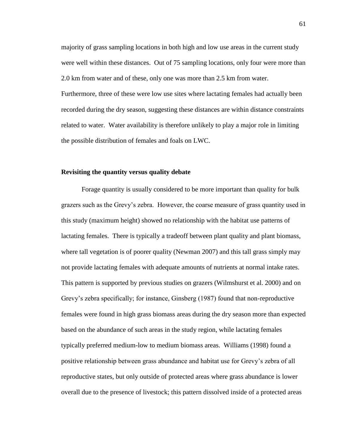majority of grass sampling locations in both high and low use areas in the current study were well within these distances. Out of 75 sampling locations, only four were more than 2.0 km from water and of these, only one was more than 2.5 km from water. Furthermore, three of these were low use sites where lactating females had actually been recorded during the dry season, suggesting these distances are within distance constraints related to water. Water availability is therefore unlikely to play a major role in limiting

the possible distribution of females and foals on LWC.

# **Revisiting the quantity versus quality debate**

Forage quantity is usually considered to be more important than quality for bulk grazers such as the Grevy's zebra. However, the coarse measure of grass quantity used in this study (maximum height) showed no relationship with the habitat use patterns of lactating females. There is typically a tradeoff between plant quality and plant biomass, where tall vegetation is of poorer quality (Newman 2007) and this tall grass simply may not provide lactating females with adequate amounts of nutrients at normal intake rates. This pattern is supported by previous studies on grazers (Wilmshurst et al. 2000) and on Grevy's zebra specifically; for instance, Ginsberg (1987) found that non-reproductive females were found in high grass biomass areas during the dry season more than expected based on the abundance of such areas in the study region, while lactating females typically preferred medium-low to medium biomass areas. Williams (1998) found a positive relationship between grass abundance and habitat use for Grevy's zebra of all reproductive states, but only outside of protected areas where grass abundance is lower overall due to the presence of livestock; this pattern dissolved inside of a protected areas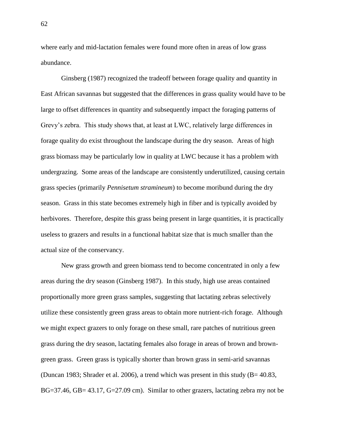where early and mid-lactation females were found more often in areas of low grass abundance.

Ginsberg (1987) recognized the tradeoff between forage quality and quantity in East African savannas but suggested that the differences in grass quality would have to be large to offset differences in quantity and subsequently impact the foraging patterns of Grevy's zebra. This study shows that, at least at LWC, relatively large differences in forage quality do exist throughout the landscape during the dry season. Areas of high grass biomass may be particularly low in quality at LWC because it has a problem with undergrazing. Some areas of the landscape are consistently underutilized, causing certain grass species (primarily *Pennisetum stramineum*) to become moribund during the dry season. Grass in this state becomes extremely high in fiber and is typically avoided by herbivores. Therefore, despite this grass being present in large quantities, it is practically useless to grazers and results in a functional habitat size that is much smaller than the actual size of the conservancy.

New grass growth and green biomass tend to become concentrated in only a few areas during the dry season (Ginsberg 1987). In this study, high use areas contained proportionally more green grass samples, suggesting that lactating zebras selectively utilize these consistently green grass areas to obtain more nutrient-rich forage. Although we might expect grazers to only forage on these small, rare patches of nutritious green grass during the dry season, lactating females also forage in areas of brown and browngreen grass. Green grass is typically shorter than brown grass in semi-arid savannas (Duncan 1983; Shrader et al. 2006), a trend which was present in this study (B= 40.83, BG=37.46, GB= 43.17, G=27.09 cm). Similar to other grazers, lactating zebra my not be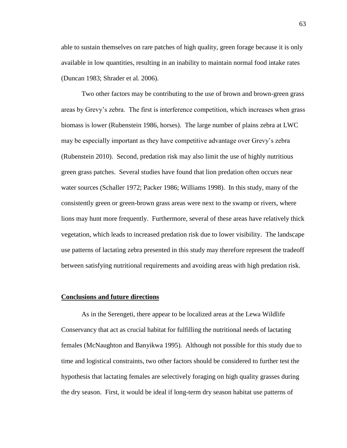able to sustain themselves on rare patches of high quality, green forage because it is only available in low quantities, resulting in an inability to maintain normal food intake rates (Duncan 1983; Shrader et al. 2006).

Two other factors may be contributing to the use of brown and brown-green grass areas by Grevy's zebra. The first is interference competition, which increases when grass biomass is lower (Rubenstein 1986, horses). The large number of plains zebra at LWC may be especially important as they have competitive advantage over Grevy's zebra (Rubenstein 2010). Second, predation risk may also limit the use of highly nutritious green grass patches. Several studies have found that lion predation often occurs near water sources (Schaller 1972; Packer 1986; Williams 1998). In this study, many of the consistently green or green-brown grass areas were next to the swamp or rivers, where lions may hunt more frequently. Furthermore, several of these areas have relatively thick vegetation, which leads to increased predation risk due to lower visibility. The landscape use patterns of lactating zebra presented in this study may therefore represent the tradeoff between satisfying nutritional requirements and avoiding areas with high predation risk.

## **Conclusions and future directions**

As in the Serengeti, there appear to be localized areas at the Lewa Wildlife Conservancy that act as crucial habitat for fulfilling the nutritional needs of lactating females (McNaughton and Banyikwa 1995). Although not possible for this study due to time and logistical constraints, two other factors should be considered to further test the hypothesis that lactating females are selectively foraging on high quality grasses during the dry season. First, it would be ideal if long-term dry season habitat use patterns of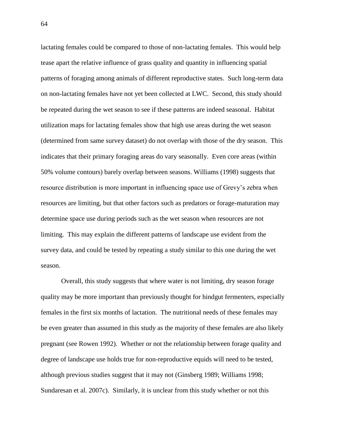lactating females could be compared to those of non-lactating females. This would help tease apart the relative influence of grass quality and quantity in influencing spatial patterns of foraging among animals of different reproductive states. Such long-term data on non-lactating females have not yet been collected at LWC. Second, this study should be repeated during the wet season to see if these patterns are indeed seasonal. Habitat utilization maps for lactating females show that high use areas during the wet season (determined from same survey dataset) do not overlap with those of the dry season. This indicates that their primary foraging areas do vary seasonally. Even core areas (within 50% volume contours) barely overlap between seasons. Williams (1998) suggests that resource distribution is more important in influencing space use of Grevy's zebra when resources are limiting, but that other factors such as predators or forage-maturation may determine space use during periods such as the wet season when resources are not limiting. This may explain the different patterns of landscape use evident from the survey data, and could be tested by repeating a study similar to this one during the wet season.

Overall, this study suggests that where water is not limiting, dry season forage quality may be more important than previously thought for hindgut fermenters, especially females in the first six months of lactation. The nutritional needs of these females may be even greater than assumed in this study as the majority of these females are also likely pregnant (see Rowen 1992). Whether or not the relationship between forage quality and degree of landscape use holds true for non-reproductive equids will need to be tested, although previous studies suggest that it may not (Ginsberg 1989; Williams 1998; Sundaresan et al. 2007c). Similarly, it is unclear from this study whether or not this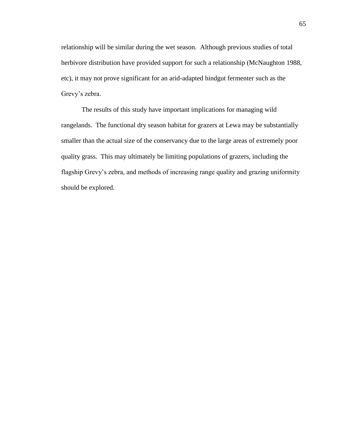relationship will be similar during the wet season. Although previous studies of total herbivore distribution have provided support for such a relationship (McNaughton 1988, etc), it may not prove significant for an arid-adapted hindgut fermenter such as the Grevy's zebra.

The results of this study have important implications for managing wild rangelands. The functional dry season habitat for grazers at Lewa may be substantially smaller than the actual size of the conservancy due to the large areas of extremely poor quality grass. This may ultimately be limiting populations of grazers, including the flagship Grevy's zebra, and methods of increasing range quality and grazing uniformity should be explored.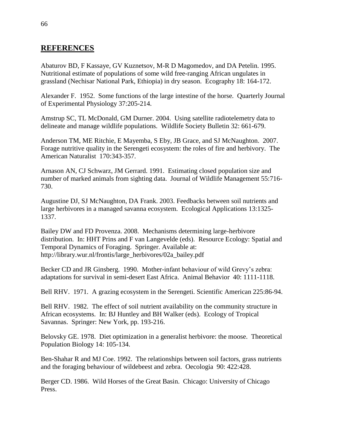## **REFERENCES**

Abaturov BD, F Kassaye, GV Kuznetsov, M-R D Magomedov, and DA Petelin. 1995. Nutritional estimate of populations of some wild free-ranging African ungulates in grassland (Nechisar National Park, Ethiopia) in dry season. Ecography 18: 164-172.

Alexander F. 1952. Some functions of the large intestine of the horse. Quarterly Journal of Experimental Physiology 37:205-214.

Amstrup SC, TL McDonald, GM Durner. 2004. Using satellite radiotelemetry data to delineate and manage wildlife populations. Wildlife Society Bulletin 32: 661-679.

Anderson TM, ME Ritchie, E Mayemba, S Eby, JB Grace, and SJ McNaughton. 2007. Forage nutritive quality in the Serengeti ecosystem: the roles of fire and herbivory. The American Naturalist 170:343-357.

Arnason AN, CJ Schwarz, JM Gerrard. 1991. Estimating closed population size and number of marked animals from sighting data. Journal of Wildlife Management 55:716- 730.

Augustine DJ, SJ McNaughton, DA Frank. 2003. Feedbacks between soil nutrients and large herbivores in a managed savanna ecosystem. Ecological Applications 13:1325- 1337.

Bailey DW and FD Provenza. 2008. Mechanisms determining large-herbivore distribution. In: HHT Prins and F van Langevelde (eds). Resource Ecology: Spatial and Temporal Dynamics of Foraging. Springer. Available at: http://library.wur.nl/frontis/large\_herbivores/02a\_bailey.pdf

Becker CD and JR Ginsberg. 1990. Mother-infant behaviour of wild Grevy's zebra: adaptations for survival in semi-desert East Africa. Animal Behavior 40: 1111-1118.

Bell RHV. 1971. A grazing ecosystem in the Serengeti. Scientific American 225:86-94.

Bell RHV. 1982. The effect of soil nutrient availability on the community structure in African ecosystems. In: BJ Huntley and BH Walker (eds). Ecology of Tropical Savannas. Springer: New York, pp. 193-216.

Belovsky GE. 1978. Diet optimization in a generalist herbivore: the moose. Theoretical Population Biology 14: 105-134.

Ben-Shahar R and MJ Coe. 1992. The relationships between soil factors, grass nutrients and the foraging behaviour of wildebeest and zebra. Oecologia 90: 422:428.

Berger CD. 1986. Wild Horses of the Great Basin. Chicago: University of Chicago Press.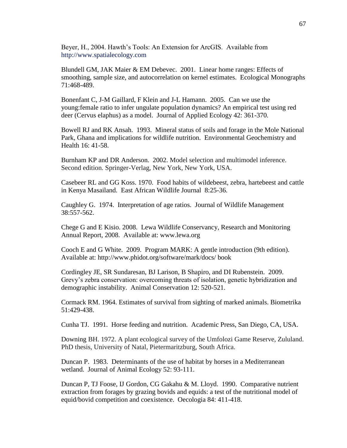Beyer, H., 2004. Hawth's Tools: An Extension for ArcGIS. Available from http://www.spatialecology.com

Blundell GM, JAK Maier & EM Debevec. 2001. Linear home ranges: Effects of smoothing, sample size, and autocorrelation on kernel estimates. Ecological Monographs 71:468-489.

Bonenfant C, J-M Gaillard, F Klein and J-L Hamann. 2005. Can we use the young:female ratio to infer ungulate population dynamics? An empirical test using red deer (Cervus elaphus) as a model. Journal of Applied Ecology 42: 361-370.

Bowell RJ and RK Ansah. 1993. Mineral status of soils and forage in the Mole National Park, Ghana and implications for wildlife nutrition. Environmental Geochemistry and Health 16: 41-58.

Burnham KP and DR Anderson. 2002. Model selection and multimodel inference. Second edition. Springer-Verlag, New York, New York, USA.

Casebeer RL and GG Koss. 1970. Food habits of wildebeest, zebra, hartebeest and cattle in Kenya Masailand. East African Wildlife Journal 8:25-36.

Caughley G. 1974. Interpretation of age ratios. Journal of Wildlife Management 38:557-562.

Chege G and E Kisio. 2008. Lewa Wildlife Conservancy, Research and Monitoring Annual Report, 2008. Available at: www.lewa.org

Cooch E and G White. 2009. Program MARK: A gentle introduction (9th edition). Available at: http://www.phidot.org/software/mark/docs/ book

Cordingley JE, SR Sundaresan, BJ Larison, B Shapiro, and DI Rubenstein. 2009. Grevy's zebra conservation: overcoming threats of isolation, genetic hybridization and demographic instability. Animal Conservation 12: 520-521.

Cormack RM. 1964. Estimates of survival from sighting of marked animals. Biometrika 51:429-438.

Cunha TJ. 1991. Horse feeding and nutrition. Academic Press, San Diego, CA, USA.

Downing BH. 1972. A plant ecological survey of the Umfolozi Game Reserve, Zululand. PhD thesis, University of Natal, Pietermaritzburg, South Africa.

Duncan P. 1983. Determinants of the use of habitat by horses in a Mediterranean wetland. Journal of Animal Ecology 52: 93-111.

Duncan P, TJ Foose, IJ Gordon, CG Gakahu & M. Lloyd. 1990. Comparative nutrient extraction from forages by grazing bovids and equids: a test of the nutritional model of equid/bovid competition and coexistence. Oecologia 84: 411-418.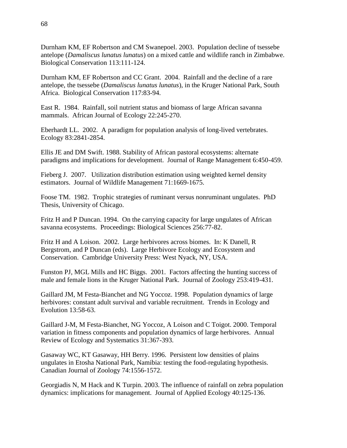Durnham KM, EF Robertson and CM Swanepoel. 2003. Population decline of tsessebe antelope (*Damaliscus lunatus lunatus*) on a mixed cattle and wildlife ranch in Zimbabwe. Biological Conservation 113:111-124.

Durnham KM, EF Robertson and CC Grant. 2004. Rainfall and the decline of a rare antelope, the tsessebe (*Damaliscus lunatus lunatus*), in the Kruger National Park, South Africa. Biological Conservation 117:83-94.

East R. 1984. Rainfall, soil nutrient status and biomass of large African savanna mammals. African Journal of Ecology 22:245-270.

Eberhardt LL. 2002. A paradigm for population analysis of long-lived vertebrates. Ecology 83:2841-2854.

Ellis JE and DM Swift. 1988. Stability of African pastoral ecosystems: alternate paradigms and implications for development. Journal of Range Management 6:450-459.

Fieberg J. 2007. Utilization distribution estimation using weighted kernel density estimators. Journal of Wildlife Management 71:1669-1675.

Foose TM. 1982. Trophic strategies of ruminant versus nonruminant ungulates. PhD Thesis, University of Chicago.

Fritz H and P Duncan. 1994. On the carrying capacity for large ungulates of African savanna ecosystems. Proceedings: Biological Sciences 256:77-82.

Fritz H and A Loison. 2002. Large herbivores across biomes. In: K Danell, R Bergstrom, and P Duncan (eds). Large Herbivore Ecology and Ecosystem and Conservation. Cambridge University Press: West Nyack, NY, USA.

Funston PJ, MGL Mills and HC Biggs. 2001. Factors affecting the hunting success of male and female lions in the Kruger National Park. Journal of Zoology 253:419-431.

Gaillard JM, M Festa-Bianchet and NG Yoccoz. 1998. Population dynamics of large herbivores: constant adult survival and variable recruitment. Trends in Ecology and Evolution 13:58-63.

Gaillard J-M, M Festa-Bianchet, NG Yoccoz, A Loison and C Toigot. 2000. Temporal variation in fitness components and population dynamics of large herbivores. Annual Review of Ecology and Systematics 31:367-393.

Gasaway WC, KT Gasaway, HH Berry. 1996. Persistent low densities of plains ungulates in Etosha National Park, Namibia: testing the food-regulating hypothesis. Canadian Journal of Zoology 74:1556-1572.

Georgiadis N, M Hack and K Turpin. 2003. The influence of rainfall on zebra population dynamics: implications for management. Journal of Applied Ecology 40:125-136.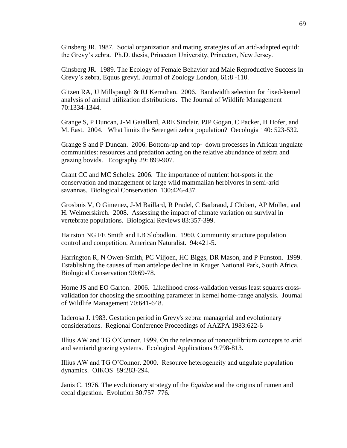Ginsberg JR. 1987. Social organization and mating strategies of an arid-adapted equid: the Grevy's zebra. Ph.D. thesis, Princeton University, Princeton, New Jersey.

Ginsberg JR. 1989. The Ecology of Female Behavior and Male Reproductive Success in Grevy's zebra, Equus grevyi. Journal of Zoology London, 61**:**8 -110.

Gitzen RA, JJ Millspaugh & RJ Kernohan. 2006. Bandwidth selection for fixed-kernel analysis of animal utilization distributions. The Journal of Wildlife Management 70:1334-1344.

Grange S, P Duncan, J-M Gaiallard, ARE Sinclair, PJP Gogan, C Packer, H Hofer, and M. East. 2004. What limits the Serengeti zebra population? Oecologia 140: 523-532.

Grange S and P Duncan. 2006. Bottom-up and top‐ down processes in African ungulate communities: resources and predation acting on the relative abundance of zebra and grazing bovids. Ecography 29: 899-907.

Grant CC and MC Scholes. 2006. The importance of nutrient hot-spots in the conservation and management of large wild mammalian herbivores in semi-arid savannas. Biological Conservation 130:426-437.

Grosbois V, O Gimenez, J-M Baillard, R Pradel, C Barbraud, J Clobert, AP Moller, and H. Weimerskirch. 2008. Assessing the impact of climate variation on survival in vertebrate populations. Biological Reviews 83:357-399.

Hairston NG FE Smith and LB Slobodkin. 1960. Community structure population control and competition. American Naturalist. 94:421-5**.**

Harrington R, N Owen-Smith, PC Viljoen, HC Biggs, DR Mason, and P Funston. 1999. Establishing the causes of roan antelope decline in Kruger National Park, South Africa. Biological Conservation 90:69-78.

Horne JS and EO Garton. 2006. Likelihood cross-validation versus least squares crossvalidation for choosing the smoothing parameter in kernel home-range analysis. Journal of Wildlife Management 70:641-648.

Iaderosa J. 1983. Gestation period in Grevy's zebra: managerial and evolutionary considerations. Regional Conference Proceedings of AAZPA 1983:622-6

Illius AW and TG O'Connor. 1999. On the relevance of nonequilibrium concepts to arid and semiarid grazing systems. Ecological Applications 9:798-813.

Illius AW and TG O'Connor. 2000. Resource heterogeneity and ungulate population dynamics. OIKOS 89:283-294.

Janis C. 1976. The evolutionary strategy of the *Equidae* and the origins of rumen and cecal digestion. Evolution 30:757–776.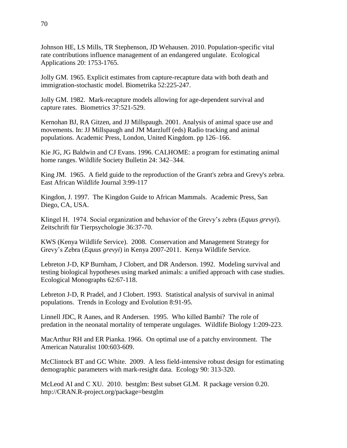Johnson HE, LS Mills, TR Stephenson, JD Wehausen. 2010. Population-specific vital rate contributions influence management of an endangered ungulate. Ecological Applications 20: 1753-1765.

Jolly GM. 1965. Explicit estimates from capture-recapture data with both death and immigration-stochastic model. Biometrika 52:225-247.

Jolly GM. 1982. Mark-recapture models allowing for age-dependent survival and capture rates. Biometrics 37:521-529.

Kernohan BJ, RA Gitzen, and JJ Millspaugh. 2001. Analysis of animal space use and movements. In: JJ Millspaugh and JM Marzluff (eds) Radio tracking and animal populations. Academic Press, London, United Kingdom. pp 126–166.

Kie JG, JG Baldwin and CJ Evans. 1996. CALHOME: a program for estimating animal home ranges. Wildlife Society Bulletin 24: 342–344.

King JM. 1965. A field guide to the reproduction of the Grant's zebra and Grevy's zebra. East African Wildlife Journal 3:99-117

Kingdon, J. 1997. The Kingdon Guide to African Mammals. Academic Press, San Diego, CA, USA.

Klingel H. 1974. Social organization and behavior of the Grevy's zebra (*Equus grevyi*). Zeitschrift für Tierpsychologie 36:37-70.

KWS (Kenya Wildlife Service). 2008. Conservation and Management Strategy for Grevy's Zebra (*Equus grevyi*) in Kenya 2007-2011. Kenya Wildlife Service.

Lebreton J-D, KP Burnham, J Clobert, and DR Anderson. 1992. Modeling survival and testing biological hypotheses using marked animals: a unified approach with case studies. Ecological Monographs 62:67-118.

Lebreton J-D, R Pradel, and J Clobert. 1993. Statistical analysis of survival in animal populations. Trends in Ecology and Evolution 8:91-95.

Linnell JDC, R Aanes, and R Andersen. 1995. Who killed Bambi? The role of predation in the neonatal mortality of temperate ungulages. Wildlife Biology 1:209-223.

MacArthur RH and ER Pianka. 1966. On optimal use of a patchy environment. The American Naturalist 100:603-609.

McClintock BT and GC White. 2009. A less field-intensive robust design for estimating demographic parameters with mark-resight data. Ecology 90: 313-320.

McLeod AI and C XU. 2010. bestglm: Best subset GLM. R package version 0.20. http://CRAN.R-project.org/package=bestglm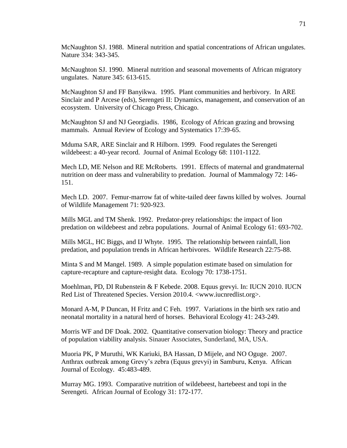McNaughton SJ. 1988. Mineral nutrition and spatial concentrations of African ungulates. Nature 334: 343-345.

McNaughton SJ. 1990. Mineral nutrition and seasonal movements of African migratory ungulates. Nature 345: 613-615.

McNaughton SJ and FF Banyikwa. 1995. Plant communities and herbivory. In ARE Sinclair and P Arcese (eds), Serengeti II: Dynamics, management, and conservation of an ecosystem. University of Chicago Press, Chicago.

McNaughton SJ and NJ Georgiadis. 1986, Ecology of African grazing and browsing mammals. Annual Review of Ecology and Systematics 17:39-65.

Mduma SAR, ARE Sinclair and R Hilborn. 1999. Food regulates the Serengeti wildebeest: a 40-year record. Journal of Animal Ecology 68: 1101-1122.

Mech LD, ME Nelson and RE McRoberts. 1991. Effects of maternal and grandmaternal nutrition on deer mass and vulnerability to predation. Journal of Mammalogy 72: 146- 151.

Mech LD. 2007. Femur-marrow fat of white-tailed deer fawns killed by wolves. Journal of Wildlife Management 71: 920-923.

Mills MGL and TM Shenk. 1992. Predator-prey relationships: the impact of lion predation on wildebeest and zebra populations. Journal of Animal Ecology 61: 693-702.

Mills MGL, HC Biggs, and IJ Whyte. 1995. The relationship between rainfall, lion predation, and population trends in African herbivores. Wildlife Research 22:75-88.

Minta S and M Mangel. 1989. A simple population estimate based on simulation for capture-recapture and capture-resight data. Ecology 70: 1738-1751.

Moehlman, PD, DI Rubenstein & F Kebede. 2008. Equus grevyi. In: IUCN 2010. IUCN Red List of Threatened Species. Version 2010.4. [<www.iucnredlist.org>](http://www.google.com/url?q=http%3A%2F%2Fwww.iucnredlist.org%2F&sa=D&sntz=1&usg=AFQjCNFsNdx92AphtrEDEA4o0Ut0kQ67yw).

Monard A-M, P Duncan, H Fritz and C Feh. 1997. Variations in the birth sex ratio and neonatal mortality in a natural herd of horses. Behavioral Ecology 41: 243-249.

Morris WF and DF Doak. 2002. Quantitative conservation biology: Theory and practice of population viability analysis. Sinauer Associates, Sunderland, MA, USA.

Muoria PK, P Muruthi, WK Kariuki, BA Hassan, D Mijele, and NO Oguge. 2007. Anthrax outbreak among Grevy's zebra (Equus grevyi) in Samburu, Kenya. African Journal of Ecology. 45:483-489.

Murray MG. 1993. Comparative nutrition of wildebeest, hartebeest and topi in the Serengeti. African Journal of Ecology 31: 172-177.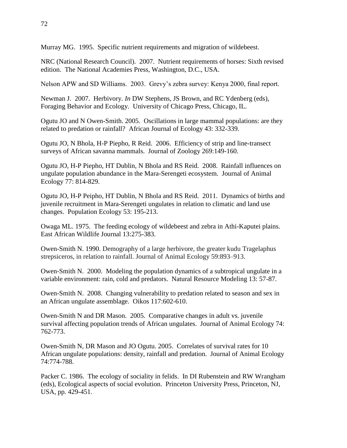Murray MG. 1995. Specific nutrient requirements and migration of wildebeest.

NRC (National Research Council). 2007. Nutrient requirements of horses: Sixth revised edition. The National Academies Press, Washington, D.C., USA.

Nelson APW and SD Williams. 2003. Grevy's zebra survey: Kenya 2000, final report.

Newman J. 2007. Herbivory. *In* DW Stephens, JS Brown, and RC Ydenberg (eds), Foraging Behavior and Ecology. University of Chicago Press, Chicago, IL.

Ogutu JO and N Owen-Smith. 2005. Oscillations in large mammal populations: are they related to predation or rainfall? African Journal of Ecology 43: 332-339.

Ogutu JO, N Bhola, H-P Piepho, R Reid. 2006. Efficiency of strip and line-transect surveys of African savanna mammals. Journal of Zoology 269:149-160.

Ogutu JO, H-P Piepho, HT Dublin, N Bhola and RS Reid. 2008. Rainfall influences on ungulate population abundance in the Mara-Serengeti ecosystem. Journal of Animal Ecology 77: 814-829.

Ogutu JO, H-P Peipho, HT Dublin, N Bhola and RS Reid. 2011. Dynamics of births and juvenile recruitment in Mara-Serengeti ungulates in relation to climatic and land use changes. Population Ecology 53: 195-213.

Owaga ML. 1975. The feeding ecology of wildebeest and zebra in Athi-Kaputei plains. East African Wildlife Journal 13:275-383.

Owen-Smith N. 1990. Demography of a large herbivore, the greater kudu Tragelaphus strepsiceros, in relation to rainfall. Journal of Animal Ecology 59:893–913.

Owen-Smith N. 2000. Modeling the population dynamics of a subtropical ungulate in a variable environment: rain, cold and predators. Natural Resource Modeling 13: 57-87.

Owen-Smith N. 2008. Changing vulnerability to predation related to season and sex in an African ungulate assemblage. Oikos 117:602-610.

Owen-Smith N and DR Mason. 2005. Comparative changes in adult vs. juvenile survival affecting population trends of African ungulates. Journal of Animal Ecology 74: 762-773.

Owen-Smith N, DR Mason and JO Ogutu. 2005. Correlates of survival rates for 10 African ungulate populations: density, rainfall and predation. Journal of Animal Ecology 74:774-788.

Packer C. 1986. The ecology of sociality in felids. In DI Rubenstein and RW Wrangham (eds), Ecological aspects of social evolution. Princeton University Press, Princeton, NJ, USA, pp. 429-451.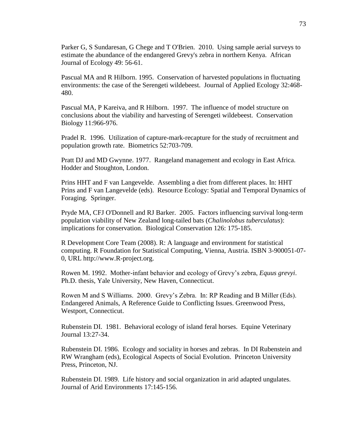Parker G, S Sundaresan, G Chege and T O'Brien. 2010. Using sample aerial surveys to estimate the abundance of the endangered Grevy's zebra in northern Kenya. African Journal of Ecology 49: 56-61.

Pascual MA and R Hilborn. 1995. Conservation of harvested populations in fluctuating environments: the case of the Serengeti wildebeest. Journal of Applied Ecology 32:468- 480.

Pascual MA, P Kareiva, and R Hilborn. 1997. The influence of model structure on conclusions about the viability and harvesting of Serengeti wildebeest. Conservation Biology 11:966-976.

Pradel R. 1996. Utilization of capture-mark-recapture for the study of recruitment and population growth rate. Biometrics 52:703-709.

Pratt DJ and MD Gwynne. 1977. Rangeland management and ecology in East Africa. Hodder and Stoughton, London.

Prins HHT and F van Langevelde. Assembling a diet from different places. In: HHT Prins and F van Langevelde (eds). Resource Ecology: Spatial and Temporal Dynamics of Foraging. Springer.

Pryde MA, CFJ O'Donnell and RJ Barker. 2005. Factors influencing survival long-term population viability of New Zealand long-tailed bats (*Chalinolobus tuberculatus*): implications for conservation. Biological Conservation 126: 175-185.

R Development Core Team (2008). R: A language and environment for statistical computing. R Foundation for Statistical Computing, Vienna, Austria. ISBN 3-900051-07- 0, URL http://www.R-project.org.

Rowen M. 1992. Mother-infant behavior and ecology of Grevy's zebra, *Equus grevyi*. Ph.D. thesis, Yale University, New Haven, Connecticut.

Rowen M and S Williams. 2000. Grevy's Zebra. In: RP Reading and B Miller (Eds). Endangered Animals, A Reference Guide to Conflicting Issues. Greenwood Press, Westport, Connecticut.

Rubenstein DI. 1981. Behavioral ecology of island feral horses. Equine Veterinary Journal 13:27-34.

Rubenstein DI. 1986. Ecology and sociality in horses and zebras. In DI Rubenstein and RW Wrangham (eds), Ecological Aspects of Social Evolution. Princeton University Press, Princeton, NJ.

Rubenstein DI. 1989. Life history and social organization in arid adapted ungulates. Journal of Arid Environments 17:145-156.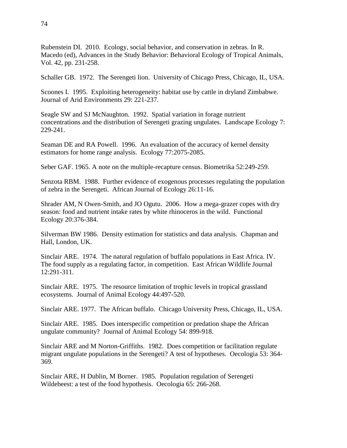Rubenstein DI. 2010. Ecology, social behavior, and conservation in zebras. In R. Macedo (ed), Advances in the Study Behavior: Behavioral Ecology of Tropical Animals, Vol. 42, pp. 231-258.

Schaller GB. 1972. The Serengeti lion. University of Chicago Press, Chicago, IL, USA.

Scoones I. 1995. Exploiting heterogeneity: habitat use by cattle in dryland Zimbabwe. Journal of Arid Environments 29: 221-237.

Seagle SW and SJ McNaughton. 1992. Spatial variation in forage nutrient concentrations and the distribution of Serengeti grazing ungulates. Landscape Ecology 7: 229-241.

Seaman DE and RA Powell. 1996. An evaluation of the accuracy of kernel density estimators for home range analysis. Ecology 77:2075-2085.

Seber GAF. 1965. A note on the multiple-recapture census. Biometrika 52:249-259.

Senzota RBM. 1988. Further evidence of exogenous processes regulating the population of zebra in the Serengeti. African Journal of Ecology 26:11-16.

Shrader AM, N Owen-Smith, and JO Ogutu. 2006. How a mega-grazer copes with dry season: food and nutrient intake rates by white rhinoceros in the wild. Functional Ecology 20:376-384.

Silverman BW 1986. Density estimation for statistics and data analysis. Chapman and Hall, London, UK.

Sinclair ARE. 1974. The natural regulation of buffalo populations in East Africa. IV. The food supply as a regulating factor, in competition. East African Wildlife Journal 12:291-311.

Sinclair ARE. 1975. The resource limitation of trophic levels in tropical grassland ecosystems. Journal of Animal Ecology 44:497-520.

Sinclair ARE. 1977. The African buffalo. Chicago University Press, Chicago, IL, USA.

Sinclair ARE. 1985. Does interspecific competition or predation shape the African ungulate community? Journal of Animal Ecology 54: 899-918.

Sinclair ARE and M Norton-Griffiths. 1982. Does competition or facilitation regulate migrant ungulate populations in the Serengeti? A test of hypotheses. Oecologia 53: 364- 369.

Sinclair ARE, H Dublin, M Borner. 1985. Population regulation of Serengeti Wildebeest: a test of the food hypothesis. Oecologia 65: 266-268.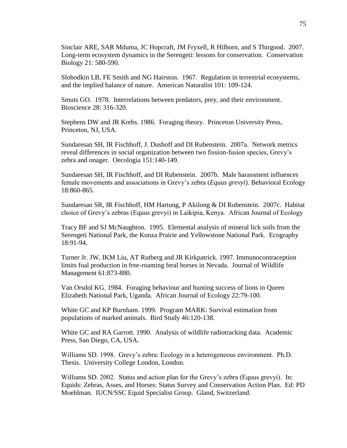Sinclair ARE, SAR Mduma, JC Hopcraft, JM Fryxell, R Hilborn, and S Thirgood. 2007. Long-term ecosystem dynamics in the Serengeti: lessons for conservation. Conservation Biology 21: 580-590.

Slobodkin LB, FE Smith and NG Hairston. 1967. Regulation in terrestrial ecosystems, and the implied balance of nature. American Naturalist 101: 109-124.

Smuts GO. 1978. Interrelations between predators, prey, and their environment. Bioscience 28: 316-320.

Stephens DW and JR Krebs. 1986. Foraging theory. Princeton University Press, Princeton, NJ, USA.

Sundaresan SH, IR Fischhoff, J. Dushoff and DI Rubenstein. 2007a. Network metrics reveal differences in social organization between two fission-fusion species, Grevy's zebra and onager. Oecologia 151:140-149.

Sundaresan SH, IR Fischhoff, and DI Rubenstein. 2007b. Male harassment influences female movements and associations in Grevy's zebra (*Equus grevyi*). Behavioral Ecology 18:860-865.

Sundaresan SR, IR Fischhoff, HM Hartung, P Akilong & DI Rubenstein. 2007c. Habitat choice of Grevy's zebras (Equus grevyi) in Laikipia, Kenya. African Journal of Ecology

Tracy BF and SJ McNaughton. 1995. Elemental analysis of mineral lick soils from the Serengeti National Park, the Konza Prairie and Yellowstone National Park. Ecography 18:91-94.

Turner Jr. JW, IKM Liu, AT Rutberg and JR Kirkpatrick. 1997. Immunocontraception limits foal production in free-roaming feral horses in Nevada. Journal of Wildlife Management 61:873-880.

Van Orsdol KG. 1984. Foraging behaviour and hunting success of lions in Queen Elizabeth National Park, Uganda. African Journal of Ecology 22:79-100.

White GC and KP Burnham. 1999. Program MARK: Survival estimation from populations of marked animals. Bird Study 46:120-138.

White GC and RA Garrott. 1990. Analysis of wildlife radiotracking data. Academic Press, San Diego, CA, USA.

Williams SD. 1998. Grevy's zebra: Ecology in a heterogeneous environment. Ph.D. Thesis. University College London, London.

Williams SD. 2002. Status and action plan for the Grevy's zebra (Equus grevyi). In: Equids: Zebras, Asses, and Horses: Status Survey and Conservation Action Plan. Ed: PD Moehlman. IUCN/SSC Equid Specialist Group. Gland, Switzerland.